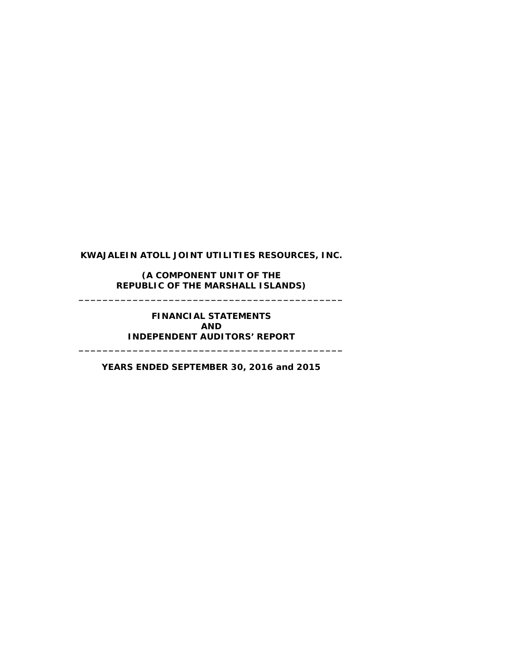**(A COMPONENT UNIT OF THE REPUBLIC OF THE MARSHALL ISLANDS) \_\_\_\_\_\_\_\_\_\_\_\_\_\_\_\_\_\_\_\_\_\_\_\_\_\_\_\_\_\_\_\_\_\_\_\_\_\_\_\_\_\_\_\_**

> **FINANCIAL STATEMENTS AND INDEPENDENT AUDITORS' REPORT**

**\_\_\_\_\_\_\_\_\_\_\_\_\_\_\_\_\_\_\_\_\_\_\_\_\_\_\_\_\_\_\_\_\_\_\_\_\_\_\_\_\_\_\_\_**

**YEARS ENDED SEPTEMBER 30, 2016 and 2015**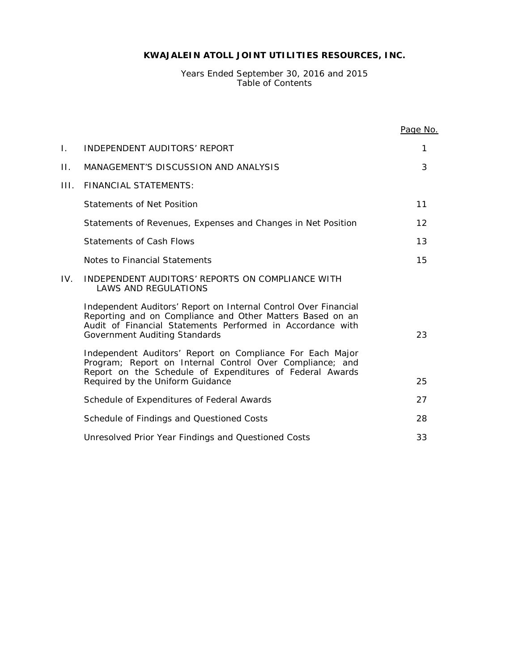Years Ended September 30, 2016 and 2015 Table of Contents

|          |                                                                                                                                                                                                                             | Page No. |
|----------|-----------------------------------------------------------------------------------------------------------------------------------------------------------------------------------------------------------------------------|----------|
| Ι.       | INDEPENDENT AUDITORS' REPORT                                                                                                                                                                                                | 1        |
| Н.       | MANAGEMENT'S DISCUSSION AND ANALYSIS                                                                                                                                                                                        | 3        |
| III.     | <b>FINANCIAL STATEMENTS:</b>                                                                                                                                                                                                |          |
|          | Statements of Net Position                                                                                                                                                                                                  | 11       |
|          | Statements of Revenues, Expenses and Changes in Net Position                                                                                                                                                                | 12       |
|          | <b>Statements of Cash Flows</b>                                                                                                                                                                                             | 13       |
|          | Notes to Financial Statements                                                                                                                                                                                               | 15       |
| $IV_{-}$ | INDEPENDENT AUDITORS' REPORTS ON COMPLIANCE WITH<br><b>LAWS AND REGULATIONS</b>                                                                                                                                             |          |
|          | Independent Auditors' Report on Internal Control Over Financial<br>Reporting and on Compliance and Other Matters Based on an<br>Audit of Financial Statements Performed in Accordance with<br>Government Auditing Standards | 23       |
|          | Independent Auditors' Report on Compliance For Each Major<br>Program; Report on Internal Control Over Compliance; and<br>Report on the Schedule of Expenditures of Federal Awards<br>Required by the Uniform Guidance       | 25       |
|          | Schedule of Expenditures of Federal Awards                                                                                                                                                                                  | 27       |
|          | Schedule of Findings and Questioned Costs                                                                                                                                                                                   | 28       |
|          | Unresolved Prior Year Findings and Questioned Costs                                                                                                                                                                         | 33       |
|          |                                                                                                                                                                                                                             |          |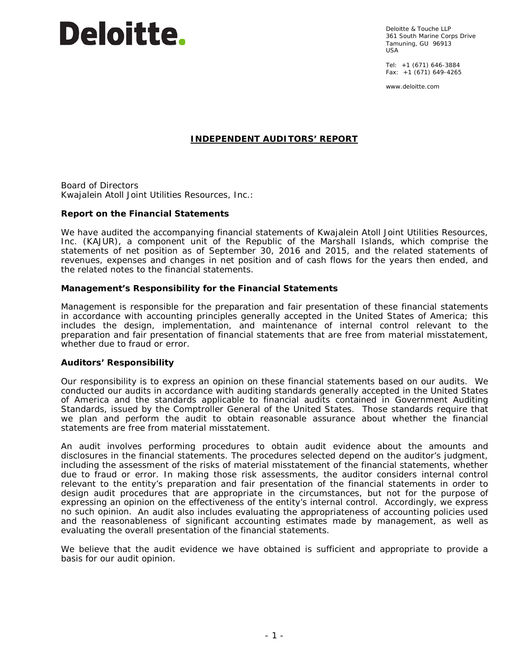# **Deloitte.**

Deloitte & Touche LLP 361 South Marine Corps Drive Tamuning, GU 96913 USA

Tel: +1 (671) 646-3884 Fax: +1 (671) 649-4265

www.deloitte.com

# **INDEPENDENT AUDITORS' REPORT**

Board of Directors Kwajalein Atoll Joint Utilities Resources, Inc.:

# **Report on the Financial Statements**

We have audited the accompanying financial statements of Kwajalein Atoll Joint Utilities Resources, Inc. (KAJUR), a component unit of the Republic of the Marshall Islands, which comprise the statements of net position as of September 30, 2016 and 2015, and the related statements of revenues, expenses and changes in net position and of cash flows for the years then ended, and the related notes to the financial statements.

# *Management's Responsibility for the Financial Statements*

Management is responsible for the preparation and fair presentation of these financial statements in accordance with accounting principles generally accepted in the United States of America; this includes the design, implementation, and maintenance of internal control relevant to the preparation and fair presentation of financial statements that are free from material misstatement, whether due to fraud or error.

#### *Auditors' Responsibility*

Our responsibility is to express an opinion on these financial statements based on our audits. We conducted our audits in accordance with auditing standards generally accepted in the United States of America and the standards applicable to financial audits contained in *Government Auditing Standards,* issued by the Comptroller General of the United States. Those standards require that we plan and perform the audit to obtain reasonable assurance about whether the financial statements are free from material misstatement.

An audit involves performing procedures to obtain audit evidence about the amounts and disclosures in the financial statements. The procedures selected depend on the auditor's judgment, including the assessment of the risks of material misstatement of the financial statements, whether due to fraud or error. In making those risk assessments, the auditor considers internal control relevant to the entity's preparation and fair presentation of the financial statements in order to design audit procedures that are appropriate in the circumstances, but not for the purpose of expressing an opinion on the effectiveness of the entity's internal control. Accordingly, we express no such opinion. An audit also includes evaluating the appropriateness of accounting policies used and the reasonableness of significant accounting estimates made by management, as well as evaluating the overall presentation of the financial statements.

We believe that the audit evidence we have obtained is sufficient and appropriate to provide a basis for our audit opinion.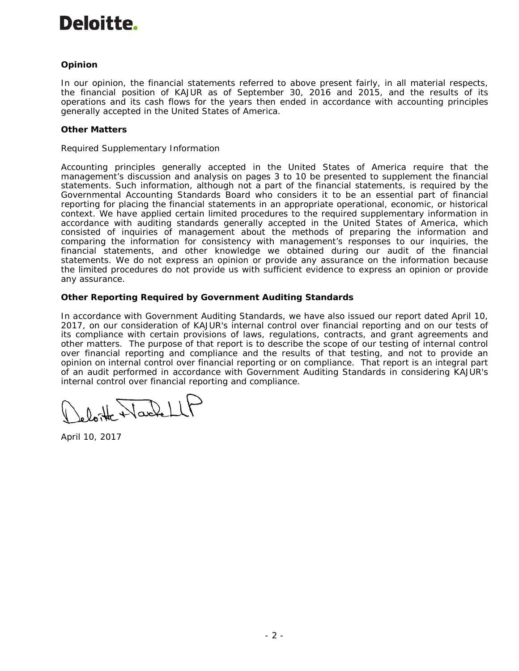# Deloitte.

# *Opinion*

In our opinion, the financial statements referred to above present fairly, in all material respects, the financial position of KAJUR as of September 30, 2016 and 2015, and the results of its operations and its cash flows for the years then ended in accordance with accounting principles generally accepted in the United States of America.

# *Other Matters*

#### *Required Supplementary Information*

Accounting principles generally accepted in the United States of America require that the management's discussion and analysis on pages 3 to 10 be presented to supplement the financial statements. Such information, although not a part of the financial statements, is required by the Governmental Accounting Standards Board who considers it to be an essential part of financial reporting for placing the financial statements in an appropriate operational, economic, or historical context. We have applied certain limited procedures to the required supplementary information in accordance with auditing standards generally accepted in the United States of America, which consisted of inquiries of management about the methods of preparing the information and comparing the information for consistency with management's responses to our inquiries, the financial statements, and other knowledge we obtained during our audit of the financial statements. We do not express an opinion or provide any assurance on the information because the limited procedures do not provide us with sufficient evidence to express an opinion or provide any assurance.

# **Other Reporting Required by** *Government Auditing Standards*

In accordance with *Government Auditing Standards*, we have also issued our report dated April 10, 2017, on our consideration of KAJUR's internal control over financial reporting and on our tests of its compliance with certain provisions of laws, regulations, contracts, and grant agreements and other matters. The purpose of that report is to describe the scope of our testing of internal control over financial reporting and compliance and the results of that testing, and not to provide an opinion on internal control over financial reporting or on compliance. That report is an integral part of an audit performed in accordance with *Government Auditing Standards* in considering KAJUR's internal control over financial reporting and compliance.

 $H$  Nackell

April 10, 2017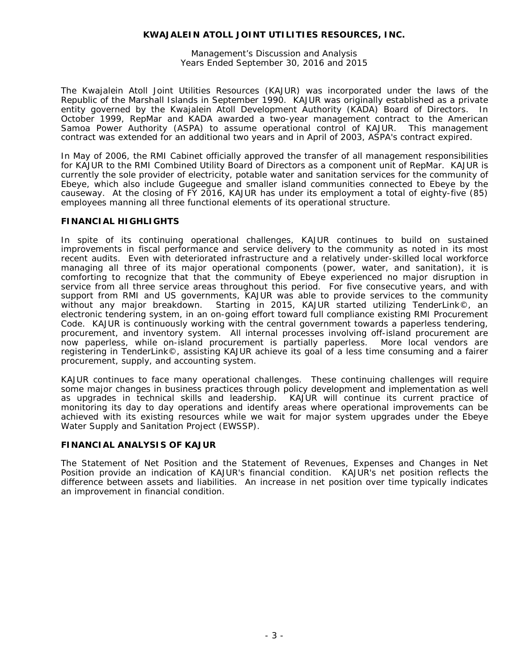Management's Discussion and Analysis Years Ended September 30, 2016 and 2015

The Kwajalein Atoll Joint Utilities Resources (KAJUR) was incorporated under the laws of the Republic of the Marshall Islands in September 1990. KAJUR was originally established as a private entity governed by the Kwajalein Atoll Development Authority (KADA) Board of Directors. In October 1999, RepMar and KADA awarded a two-year management contract to the American Samoa Power Authority (ASPA) to assume operational control of KAJUR. This management contract was extended for an additional two years and in April of 2003, ASPA's contract expired.

In May of 2006, the RMI Cabinet officially approved the transfer of all management responsibilities for KAJUR to the RMI Combined Utility Board of Directors as a component unit of RepMar. KAJUR is currently the sole provider of electricity, potable water and sanitation services for the community of Ebeye, which also include Gugeegue and smaller island communities connected to Ebeye by the causeway. At the closing of FY 2016, KAJUR has under its employment a total of eighty-five (85) employees manning all three functional elements of its operational structure.

# **FINANCIAL HIGHLIGHTS**

In spite of its continuing operational challenges, KAJUR continues to build on sustained improvements in fiscal performance and service delivery to the community as noted in its most recent audits. Even with deteriorated infrastructure and a relatively under-skilled local workforce managing all three of its major operational components (power, water, and sanitation), it is comforting to recognize that that the community of Ebeye experienced no major disruption in service from all three service areas throughout this period. For five consecutive years, and with support from RMI and US governments, KAJUR was able to provide services to the community without any major breakdown. Starting in 2015, KAJUR started utilizing TenderLink©, an Starting in 2015, KAJUR started utilizing TenderLink©, an electronic tendering system, in an on-going effort toward full compliance existing RMI Procurement Code. KAJUR is continuously working with the central government towards a paperless tendering, procurement, and inventory system. All internal processes involving off-island procurement are now paperless, while on-island procurement is partially paperless. More local vendors are registering in TenderLink©, assisting KAJUR achieve its goal of a less time consuming and a fairer procurement, supply, and accounting system.

KAJUR continues to face many operational challenges. These continuing challenges will require some major changes in business practices through policy development and implementation as well as upgrades in technical skills and leadership. KAJUR will continue its current practice of monitoring its day to day operations and identify areas where operational improvements can be achieved with its existing resources while we wait for major system upgrades under the Ebeye Water Supply and Sanitation Project (EWSSP).

#### **FINANCIAL ANALYSIS OF KAJUR**

The Statement of Net Position and the Statement of Revenues, Expenses and Changes in Net Position provide an indication of KAJUR's financial condition. KAJUR's net position reflects the difference between assets and liabilities. An increase in net position over time typically indicates an improvement in financial condition.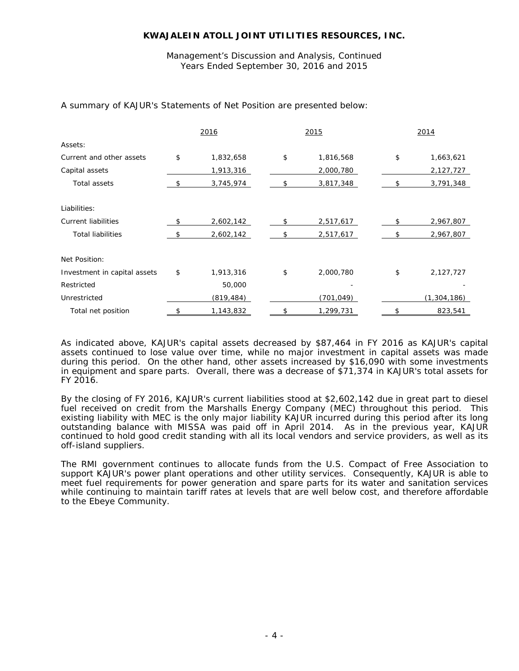Management's Discussion and Analysis, Continued Years Ended September 30, 2016 and 2015

# A summary of KAJUR's Statements of Net Position are presented below:

|                              | 2016 |           | 2015            | 2014 |             |  |
|------------------------------|------|-----------|-----------------|------|-------------|--|
| Assets:                      |      |           |                 |      |             |  |
| Current and other assets     | \$   | 1,832,658 | \$<br>1,816,568 | \$   | 1,663,621   |  |
| Capital assets               |      | 1,913,316 | 2,000,780       |      | 2,127,727   |  |
| Total assets                 |      | 3,745,974 | \$<br>3,817,348 | \$   | 3,791,348   |  |
| Liabilities:                 |      |           |                 |      |             |  |
| Current liabilities          | \$   | 2,602,142 | \$<br>2,517,617 | \$   | 2,967,807   |  |
| <b>Total liabilities</b>     |      | 2,602,142 | \$<br>2,517,617 | \$   | 2,967,807   |  |
| Net Position:                |      |           |                 |      |             |  |
| Investment in capital assets | \$   | 1,913,316 | \$<br>2,000,780 | \$   | 2,127,727   |  |
| Restricted                   |      | 50,000    |                 |      |             |  |
| Unrestricted                 |      | (819,484) | (701,049)       |      | (1,304,186) |  |
| Total net position           | \$   | 1,143,832 | \$<br>1,299,731 | \$   | 823,541     |  |

As indicated above, KAJUR's capital assets decreased by \$87,464 in FY 2016 as KAJUR's capital assets continued to lose value over time, while no major investment in capital assets was made during this period. On the other hand, other assets increased by \$16,090 with some investments in equipment and spare parts. Overall, there was a decrease of \$71,374 in KAJUR's total assets for FY 2016.

By the closing of FY 2016, KAJUR's current liabilities stood at \$2,602,142 due in great part to diesel fuel received on credit from the Marshalls Energy Company (MEC) throughout this period. This existing liability with MEC is the only major liability KAJUR incurred during this period after its long outstanding balance with MISSA was paid off in April 2014. As in the previous year, KAJUR continued to hold good credit standing with all its local vendors and service providers, as well as its off-island suppliers.

The RMI government continues to allocate funds from the U.S. Compact of Free Association to support KAJUR's power plant operations and other utility services. Consequently, KAJUR is able to meet fuel requirements for power generation and spare parts for its water and sanitation services while continuing to maintain tariff rates at levels that are well below cost, and therefore affordable to the Ebeye Community.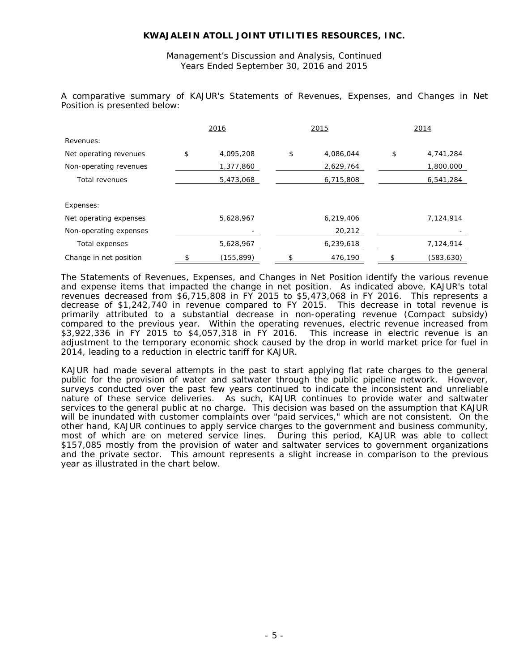Management's Discussion and Analysis, Continued Years Ended September 30, 2016 and 2015

A comparative summary of KAJUR's Statements of Revenues, Expenses, and Changes in Net Position is presented below:

|                        |           | 2016      |           | 2015      |           | 2014      |  |  |
|------------------------|-----------|-----------|-----------|-----------|-----------|-----------|--|--|
| Revenues:              |           |           |           |           |           |           |  |  |
| Net operating revenues | \$        | 4,095,208 | \$        | 4,086,044 | \$        | 4,741,284 |  |  |
| Non-operating revenues |           | 1,377,860 | 2,629,764 |           |           | 1,800,000 |  |  |
| <b>Total revenues</b>  | 5,473,068 |           |           | 6,715,808 | 6,541,284 |           |  |  |
|                        |           |           |           |           |           |           |  |  |
| Expenses:              |           |           |           |           |           |           |  |  |
| Net operating expenses |           | 5,628,967 |           | 6,219,406 |           | 7,124,914 |  |  |
| Non-operating expenses |           |           |           | 20,212    |           |           |  |  |
| Total expenses         |           | 5,628,967 |           | 6,239,618 |           | 7,124,914 |  |  |
| Change in net position |           | (155,899) |           | 476,190   |           | (583,630) |  |  |

The Statements of Revenues, Expenses, and Changes in Net Position identify the various revenue and expense items that impacted the change in net position. As indicated above, KAJUR's total revenues decreased from \$6,715,808 in FY 2015 to \$5,473,068 in FY 2016. This represents a decrease of \$1,242,740 in revenue compared to FY 2015. This decrease in total revenue is primarily attributed to a substantial decrease in non-operating revenue (Compact subsidy) compared to the previous year. Within the operating revenues, electric revenue increased from \$3,922,336 in FY 2015 to \$4,057,318 in FY 2016. This increase in electric revenue is an adjustment to the temporary economic shock caused by the drop in world market price for fuel in 2014, leading to a reduction in electric tariff for KAJUR.

KAJUR had made several attempts in the past to start applying flat rate charges to the general public for the provision of water and saltwater through the public pipeline network. However, surveys conducted over the past few years continued to indicate the inconsistent and unreliable nature of these service deliveries. As such, KAJUR continues to provide water and saltwater services to the general public at no charge. This decision was based on the assumption that KAJUR will be inundated with customer complaints over "paid services," which are not consistent. On the other hand, KAJUR continues to apply service charges to the government and business community, most of which are on metered service lines. During this period, KAJUR was able to collect \$157,085 mostly from the provision of water and saltwater services to government organizations and the private sector. This amount represents a slight increase in comparison to the previous year as illustrated in the chart below.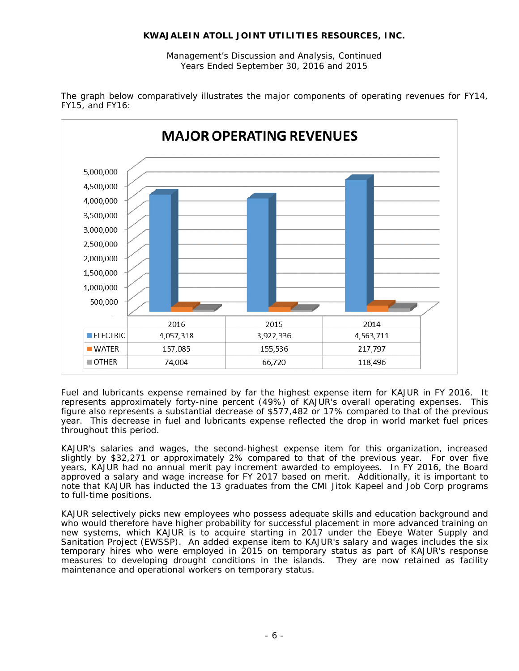Management's Discussion and Analysis, Continued Years Ended September 30, 2016 and 2015

The graph below comparatively illustrates the major components of operating revenues for FY14, FY15, and FY16:



Fuel and lubricants expense remained by far the highest expense item for KAJUR in FY 2016. It represents approximately forty-nine percent (49%) of KAJUR's overall operating expenses. This figure also represents a substantial decrease of \$577,482 or 17% compared to that of the previous year. This decrease in fuel and lubricants expense reflected the drop in world market fuel prices throughout this period.

KAJUR's salaries and wages, the second-highest expense item for this organization, increased slightly by \$32,271 or approximately 2% compared to that of the previous year. For over five years, KAJUR had no annual merit pay increment awarded to employees. In FY 2016, the Board approved a salary and wage increase for FY 2017 based on merit. Additionally, it is important to note that KAJUR has inducted the 13 graduates from the CMI Jitok Kapeel and Job Corp programs to full-time positions.

KAJUR selectively picks new employees who possess adequate skills and education background and who would therefore have higher probability for successful placement in more advanced training on new systems, which KAJUR is to acquire starting in 2017 under the Ebeye Water Supply and Sanitation Project (EWSSP). An added expense item to KAJUR's salary and wages includes the six temporary hires who were employed in 2015 on temporary status as part of KAJUR's response measures to developing drought conditions in the islands. They are now retained as facility maintenance and operational workers on temporary status.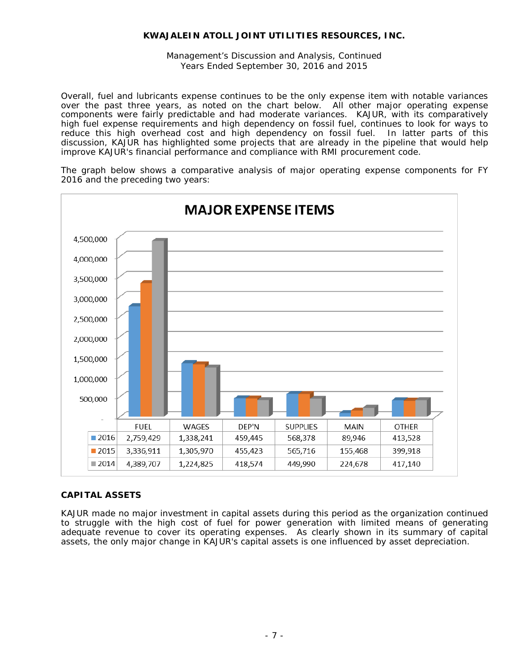Management's Discussion and Analysis, Continued Years Ended September 30, 2016 and 2015

Overall, fuel and lubricants expense continues to be the only expense item with notable variances over the past three years, as noted on the chart below. All other major operating expense components were fairly predictable and had moderate variances. KAJUR, with its comparatively high fuel expense requirements and high dependency on fossil fuel, continues to look for ways to reduce this high overhead cost and high dependency on fossil fuel. In latter parts of this discussion, KAJUR has highlighted some projects that are already in the pipeline that would help improve KAJUR's financial performance and compliance with RMI procurement code.

The graph below shows a comparative analysis of major operating expense components for FY 2016 and the preceding two years:



# **CAPITAL ASSETS**

KAJUR made no major investment in capital assets during this period as the organization continued to struggle with the high cost of fuel for power generation with limited means of generating adequate revenue to cover its operating expenses. As clearly shown in its summary of capital assets, the only major change in KAJUR's capital assets is one influenced by asset depreciation.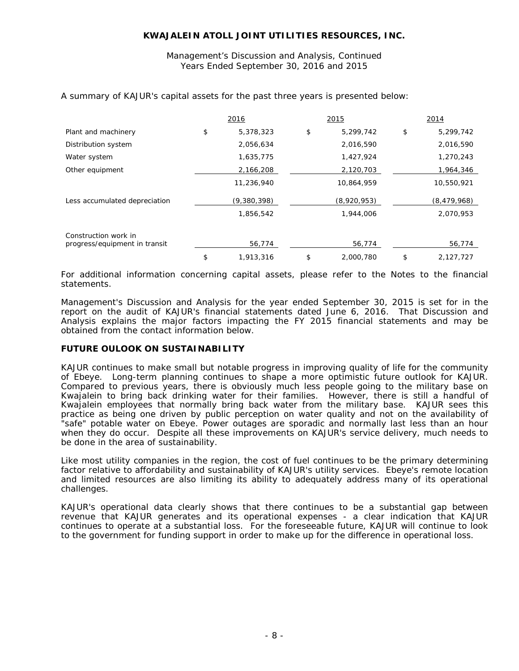Management's Discussion and Analysis, Continued Years Ended September 30, 2016 and 2015

|                               | 2016            |    | 2015        | 2014            |
|-------------------------------|-----------------|----|-------------|-----------------|
| Plant and machinery           | \$<br>5,378,323 | \$ | 5,299,742   | \$<br>5,299,742 |
| Distribution system           | 2,056,634       |    | 2,016,590   | 2,016,590       |
| Water system                  | 1,635,775       |    | 1,427,924   | 1,270,243       |
| Other equipment               | 2,166,208       |    | 2,120,703   | 1,964,346       |
|                               | 11,236,940      |    | 10,864,959  | 10,550,921      |
| Less accumulated depreciation | (9,380,398)     |    | (8,920,953) | (8, 479, 968)   |
|                               | 1,856,542       |    | 1,944,006   | 2,070,953       |
| Construction work in          |                 |    |             |                 |
| progress/equipment in transit | 56,774          |    | 56,774      | 56,774          |
|                               | \$<br>1,913,316 | \$ | 2,000,780   | \$<br>2,127,727 |

A summary of KAJUR's capital assets for the past three years is presented below:

For additional information concerning capital assets, please refer to the Notes to the financial statements.

Management's Discussion and Analysis for the year ended September 30, 2015 is set for in the report on the audit of KAJUR's financial statements dated June 6, 2016. That Discussion and Analysis explains the major factors impacting the FY 2015 financial statements and may be obtained from the contact information below.

# **FUTURE OULOOK ON SUSTAINABILITY**

KAJUR continues to make small but notable progress in improving quality of life for the community of Ebeye. Long-term planning continues to shape a more optimistic future outlook for KAJUR. Compared to previous years, there is obviously much less people going to the military base on Kwajalein to bring back drinking water for their families. However, there is still a handful of Kwajalein employees that normally bring back water from the military base. KAJUR sees this practice as being one driven by public perception on water quality and not on the availability of "safe" potable water on Ebeye. Power outages are sporadic and normally last less than an hour when they do occur. Despite all these improvements on KAJUR's service delivery, much needs to be done in the area of sustainability.

Like most utility companies in the region, the cost of fuel continues to be the primary determining factor relative to affordability and sustainability of KAJUR's utility services. Ebeye's remote location and limited resources are also limiting its ability to adequately address many of its operational challenges.

KAJUR's operational data clearly shows that there continues to be a substantial gap between revenue that KAJUR generates and its operational expenses - a clear indication that KAJUR continues to operate at a substantial loss. For the foreseeable future, KAJUR will continue to look to the government for funding support in order to make up for the difference in operational loss.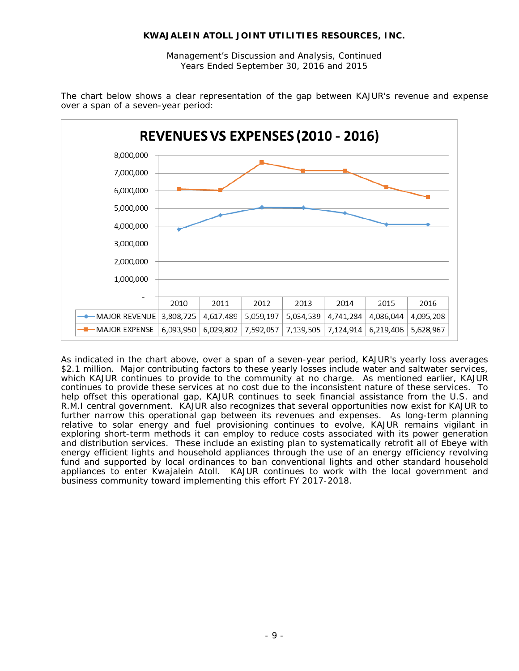Management's Discussion and Analysis, Continued Years Ended September 30, 2016 and 2015



5,059,197

7,592,057

5,034,539

7,139,505

4,741,284

7,124,914

4,086,044

6,219,406

4,095,208

5,628,967

4,617,489

6,029,802

MAJOR REVENUE 3,808,725

6,093,950

**MAJOR EXPENSE** 

The chart below shows a clear representation of the gap between KAJUR's revenue and expense over a span of a seven-year period:

As indicated in the chart above, over a span of a seven-year period, KAJUR's yearly loss averages \$2.1 million. Major contributing factors to these yearly losses include water and saltwater services, which KAJUR continues to provide to the community at no charge. As mentioned earlier, KAJUR continues to provide these services at no cost due to the inconsistent nature of these services. To help offset this operational gap, KAJUR continues to seek financial assistance from the U.S. and R.M.I central government. KAJUR also recognizes that several opportunities now exist for KAJUR to further narrow this operational gap between its revenues and expenses. As long-term planning relative to solar energy and fuel provisioning continues to evolve, KAJUR remains vigilant in exploring short-term methods it can employ to reduce costs associated with its power generation and distribution services. These include an existing plan to systematically retrofit all of Ebeye with energy efficient lights and household appliances through the use of an energy efficiency revolving fund and supported by local ordinances to ban conventional lights and other standard household appliances to enter Kwajalein Atoll. KAJUR continues to work with the local government and business community toward implementing this effort FY 2017-2018.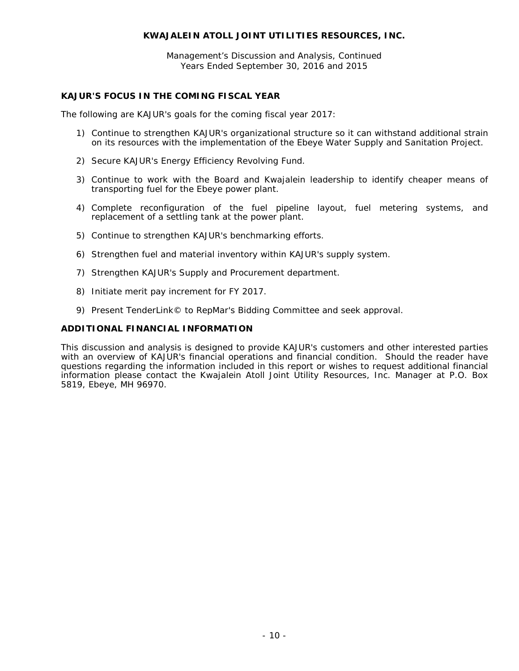Management's Discussion and Analysis, Continued Years Ended September 30, 2016 and 2015

# **KAJUR'S FOCUS IN THE COMING FISCAL YEAR**

The following are KAJUR's goals for the coming fiscal year 2017:

- 1) Continue to strengthen KAJUR's organizational structure so it can withstand additional strain on its resources with the implementation of the Ebeye Water Supply and Sanitation Project.
- 2) Secure KAJUR's Energy Efficiency Revolving Fund.
- 3) Continue to work with the Board and Kwajalein leadership to identify cheaper means of transporting fuel for the Ebeye power plant.
- 4) Complete reconfiguration of the fuel pipeline layout, fuel metering systems, and replacement of a settling tank at the power plant.
- 5) Continue to strengthen KAJUR's benchmarking efforts.
- 6) Strengthen fuel and material inventory within KAJUR's supply system.
- 7) Strengthen KAJUR's Supply and Procurement department.
- 8) Initiate merit pay increment for FY 2017.
- 9) Present TenderLink© to RepMar's Bidding Committee and seek approval.

# **ADDITIONAL FINANCIAL INFORMATION**

This discussion and analysis is designed to provide KAJUR's customers and other interested parties with an overview of KAJUR's financial operations and financial condition. Should the reader have questions regarding the information included in this report or wishes to request additional financial information please contact the Kwajalein Atoll Joint Utility Resources, Inc. Manager at P.O. Box 5819, Ebeye, MH 96970.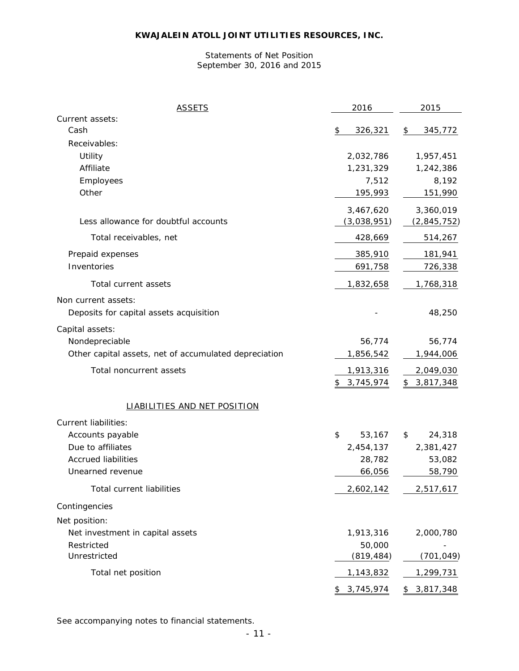# Statements of Net Position September 30, 2016 and 2015

| <u>ASSETS</u>                                                  | 2016                     | 2015                       |
|----------------------------------------------------------------|--------------------------|----------------------------|
| Current assets:<br>Cash                                        | \$<br>326,321            | \$<br>345,772              |
| Receivables:                                                   |                          |                            |
| Utility                                                        | 2,032,786                | 1,957,451                  |
| Affiliate                                                      | 1,231,329                | 1,242,386                  |
| Employees                                                      | 7,512                    | 8,192                      |
| Other                                                          | 195,993                  | 151,990                    |
| Less allowance for doubtful accounts                           | 3,467,620<br>(3,038,951) | 3,360,019<br>(2, 845, 752) |
| Total receivables, net                                         | 428,669                  | 514,267                    |
| Prepaid expenses                                               | 385,910                  | 181,941                    |
| Inventories                                                    | 691,758                  | 726,338                    |
| Total current assets                                           | 1,832,658                | 1,768,318                  |
| Non current assets:<br>Deposits for capital assets acquisition |                          | 48,250                     |
| Capital assets:                                                |                          |                            |
| Nondepreciable                                                 | 56,774                   | 56,774                     |
| Other capital assets, net of accumulated depreciation          | 1,856,542                | 1,944,006                  |
| Total noncurrent assets                                        | 1,913,316                | 2,049,030                  |
|                                                                | \$3,745,974              | \$3,817,348                |
| <b>LIABILITIES AND NET POSITION</b>                            |                          |                            |
| <b>Current liabilities:</b>                                    |                          |                            |
| Accounts payable                                               | \$<br>53,167             | \$<br>24,318               |
| Due to affiliates                                              | 2,454,137                | 2,381,427                  |
| <b>Accrued liabilities</b>                                     | 28,782                   | 53,082                     |
| Unearned revenue                                               | 66,056                   | 58,790                     |
| <b>Total current liabilities</b>                               | 2,602,142                | 2,517,617                  |
| Contingencies                                                  |                          |                            |
| Net position:                                                  |                          |                            |
| Net investment in capital assets                               | 1,913,316                | 2,000,780                  |
| Restricted                                                     | 50,000                   |                            |
| Unrestricted                                                   | (819, 484)               | (701,049)                  |
| Total net position                                             | 1,143,832                | 1,299,731                  |
|                                                                | \$3,745,974              | \$<br>3,817,348            |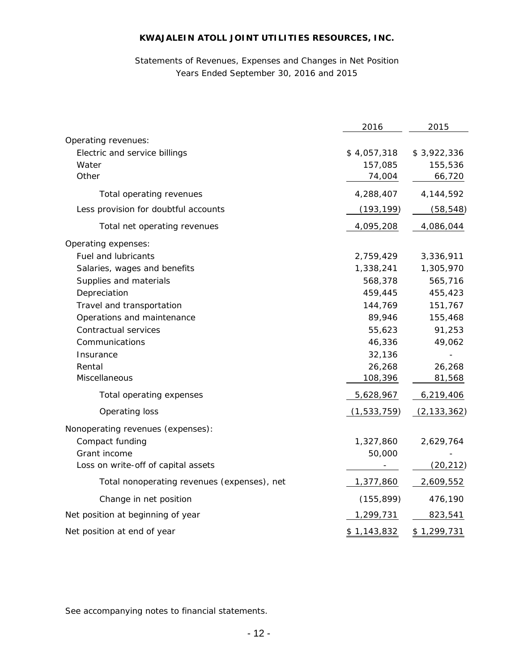# Statements of Revenues, Expenses and Changes in Net Position Years Ended September 30, 2016 and 2015

|                                             | 2016        | 2015           |
|---------------------------------------------|-------------|----------------|
| Operating revenues:                         |             |                |
| Electric and service billings               | \$4,057,318 | \$3,922,336    |
| Water                                       | 157,085     | 155,536        |
| Other                                       | 74,004      | 66,720         |
| Total operating revenues                    | 4,288,407   | 4,144,592      |
| Less provision for doubtful accounts        | (193, 199)  | (58, 548)      |
| Total net operating revenues                | 4,095,208   | 4,086,044      |
| Operating expenses:                         |             |                |
| <b>Fuel and lubricants</b>                  | 2,759,429   | 3,336,911      |
| Salaries, wages and benefits                | 1,338,241   | 1,305,970      |
| Supplies and materials                      | 568,378     | 565,716        |
| Depreciation                                | 459,445     | 455,423        |
| Travel and transportation                   | 144,769     | 151,767        |
| Operations and maintenance                  | 89,946      | 155,468        |
| Contractual services                        | 55,623      | 91,253         |
| Communications                              | 46,336      | 49,062         |
| Insurance                                   | 32,136      | $\overline{a}$ |
| Rental                                      | 26,268      | 26,268         |
| Miscellaneous                               | 108,396     | 81,568         |
| Total operating expenses                    | 5,628,967   | 6,219,406      |
| Operating loss                              | (1,533,759) | (2, 133, 362)  |
| Nonoperating revenues (expenses):           |             |                |
| Compact funding                             | 1,327,860   | 2,629,764      |
| Grant income                                | 50,000      |                |
| Loss on write-off of capital assets         |             | (20, 212)      |
| Total nonoperating revenues (expenses), net | 1,377,860   | 2,609,552      |
| Change in net position                      | (155, 899)  | 476,190        |
| Net position at beginning of year           | 1,299,731   | 823,541        |
| Net position at end of year                 | \$1,143,832 | \$1,299,731    |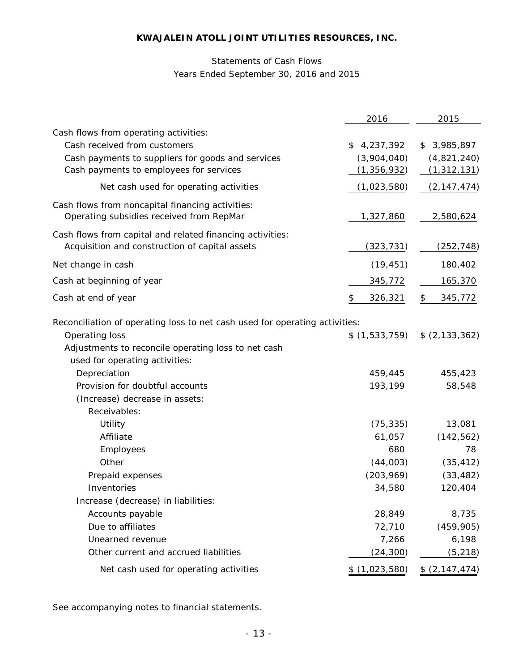# Statements of Cash Flows Years Ended September 30, 2016 and 2015

|                                                                                                             | 2016            | 2015             |
|-------------------------------------------------------------------------------------------------------------|-----------------|------------------|
| Cash flows from operating activities:<br>Cash received from customers                                       | 4,237,392<br>\$ | 3,985,897<br>\$  |
| Cash payments to suppliers for goods and services                                                           | (3,904,040)     | (4,821,240)      |
| Cash payments to employees for services                                                                     | (1, 356, 932)   | (1, 312, 131)    |
|                                                                                                             |                 |                  |
| Net cash used for operating activities                                                                      | (1,023,580)     | (2, 147, 474)    |
| Cash flows from noncapital financing activities:<br>Operating subsidies received from RepMar                | 1,327,860       | 2,580,624        |
| Cash flows from capital and related financing activities:<br>Acquisition and construction of capital assets | (323, 731)      | (252,748)        |
| Net change in cash                                                                                          | (19, 451)       | 180,402          |
| Cash at beginning of year                                                                                   | 345,772         | 165,370          |
| Cash at end of year                                                                                         | 326,321<br>\$   | 345,772<br>\$    |
| Reconciliation of operating loss to net cash used for operating activities:                                 |                 |                  |
| Operating loss                                                                                              | \$(1,533,759)   | \$(2, 133, 362)  |
| Adjustments to reconcile operating loss to net cash                                                         |                 |                  |
| used for operating activities:                                                                              |                 |                  |
| Depreciation                                                                                                | 459,445         | 455,423          |
| Provision for doubtful accounts                                                                             | 193,199         | 58,548           |
| (Increase) decrease in assets:                                                                              |                 |                  |
| Receivables:                                                                                                |                 |                  |
| Utility                                                                                                     | (75, 335)       | 13,081           |
| Affiliate                                                                                                   | 61,057          | (142, 562)       |
| Employees                                                                                                   | 680             | 78               |
| Other                                                                                                       | (44,003)        | (35, 412)        |
| Prepaid expenses                                                                                            | (203, 969)      | (33, 482)        |
| Inventories                                                                                                 | 34,580          | 120,404          |
| Increase (decrease) in liabilities:                                                                         |                 |                  |
| Accounts payable                                                                                            | 28,849          | 8,735            |
| Due to affiliates                                                                                           | 72,710          | (459, 905)       |
| Unearned revenue                                                                                            | 7,266           | 6,198            |
| Other current and accrued liabilities                                                                       | (24, 300)       | (5, 218)         |
| Net cash used for operating activities                                                                      | \$ (1,023,580)  | \$ (2, 147, 474) |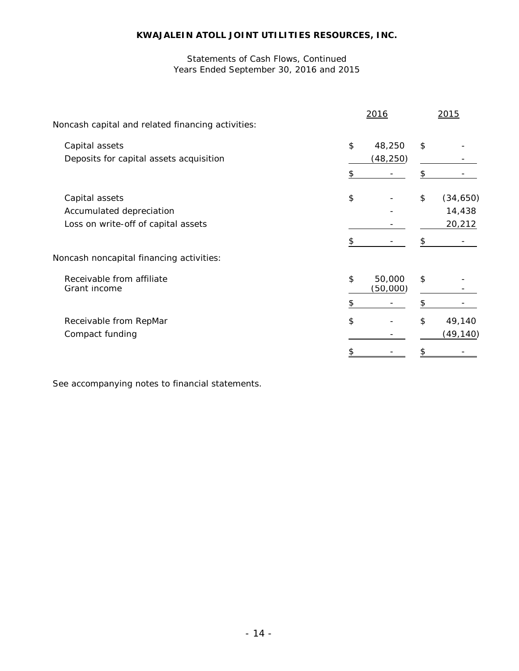# Years Ended September 30, 2016 and 2015 Statements of Cash Flows, Continued

| Noncash capital and related financing activities: | 2016                     | 2015            |
|---------------------------------------------------|--------------------------|-----------------|
| Capital assets                                    | \$<br>48,250             | \$              |
| Deposits for capital assets acquisition           | (48, 250)                |                 |
|                                                   | \$                       | \$              |
| Capital assets                                    | \$                       | \$<br>(34, 650) |
| Accumulated depreciation                          |                          | 14,438          |
| Loss on write-off of capital assets               |                          | 20,212          |
|                                                   |                          |                 |
| Noncash noncapital financing activities:          |                          |                 |
| Receivable from affiliate<br>Grant income         | \$<br>50,000<br>(50,000) | \$              |
|                                                   | \$                       | \$              |
| Receivable from RepMar                            | \$                       | \$<br>49,140    |
| Compact funding                                   |                          | (49,140)        |
|                                                   | \$                       | \$              |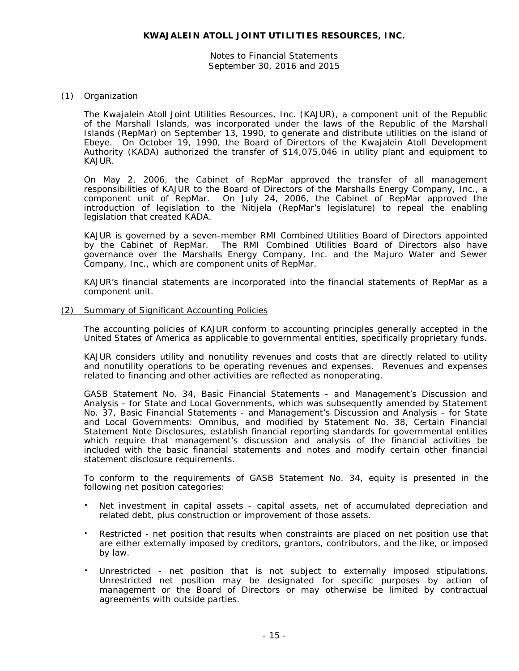Notes to Financial Statements September 30, 2016 and 2015

#### (1) Organization

The Kwajalein Atoll Joint Utilities Resources, Inc. (KAJUR), a component unit of the Republic of the Marshall Islands, was incorporated under the laws of the Republic of the Marshall Islands (RepMar) on September 13, 1990, to generate and distribute utilities on the island of Ebeye. On October 19, 1990, the Board of Directors of the Kwajalein Atoll Development Authority (KADA) authorized the transfer of \$14,075,046 in utility plant and equipment to KAJUR.

On May 2, 2006, the Cabinet of RepMar approved the transfer of all management responsibilities of KAJUR to the Board of Directors of the Marshalls Energy Company, Inc., a component unit of RepMar. On July 24, 2006, the Cabinet of RepMar approved the introduction of legislation to the Nitijela (RepMar's legislature) to repeal the enabling legislation that created KADA.

KAJUR is governed by a seven-member RMI Combined Utilities Board of Directors appointed by the Cabinet of RepMar. The RMI Combined Utilities Board of Directors also have governance over the Marshalls Energy Company, Inc. and the Majuro Water and Sewer Company, Inc., which are component units of RepMar.

KAJUR's financial statements are incorporated into the financial statements of RepMar as a component unit.

#### (2) Summary of Significant Accounting Policies

The accounting policies of KAJUR conform to accounting principles generally accepted in the United States of America as applicable to governmental entities, specifically proprietary funds.

KAJUR considers utility and nonutility revenues and costs that are directly related to utility and nonutility operations to be operating revenues and expenses. Revenues and expenses related to financing and other activities are reflected as nonoperating.

GASB Statement No. 34, *Basic Financial Statements - and Management's Discussion and Analysis - for State and Local Governments*, which was subsequently amended by Statement No. 37, *Basic Financial Statements - and Management's Discussion and Analysis - for State and Local Governments: Omnibus,* and modified by Statement No. 38, *Certain Financial Statement Note Disclosures,* establish financial reporting standards for governmental entities which require that management's discussion and analysis of the financial activities be included with the basic financial statements and notes and modify certain other financial statement disclosure requirements.

To conform to the requirements of GASB Statement No. 34, equity is presented in the following net position categories:

- Net investment in capital assets capital assets, net of accumulated depreciation and related debt, plus construction or improvement of those assets.
- Restricted net position that results when constraints are placed on net position use that are either externally imposed by creditors, grantors, contributors, and the like, or imposed by law.
- Unrestricted net position that is not subject to externally imposed stipulations. Unrestricted net position may be designated for specific purposes by action of management or the Board of Directors or may otherwise be limited by contractual agreements with outside parties.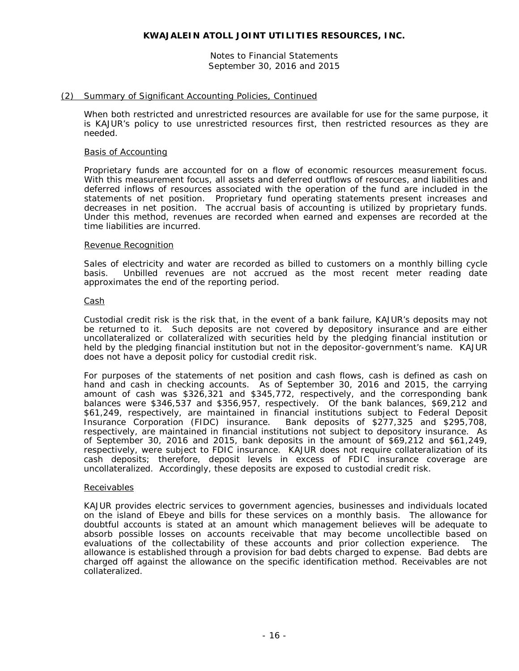Notes to Financial Statements September 30, 2016 and 2015

#### (2) Summary of Significant Accounting Policies, Continued

When both restricted and unrestricted resources are available for use for the same purpose, it is KAJUR's policy to use unrestricted resources first, then restricted resources as they are needed.

#### Basis of Accounting

Proprietary funds are accounted for on a flow of economic resources measurement focus. With this measurement focus, all assets and deferred outflows of resources, and liabilities and deferred inflows of resources associated with the operation of the fund are included in the statements of net position. Proprietary fund operating statements present increases and decreases in net position. The accrual basis of accounting is utilized by proprietary funds. Under this method, revenues are recorded when earned and expenses are recorded at the time liabilities are incurred.

#### Revenue Recognition

Sales of electricity and water are recorded as billed to customers on a monthly billing cycle basis. Unbilled revenues are not accrued as the most recent meter reading date approximates the end of the reporting period.

#### Cash

Custodial credit risk is the risk that, in the event of a bank failure, KAJUR's deposits may not be returned to it. Such deposits are not covered by depository insurance and are either uncollateralized or collateralized with securities held by the pledging financial institution or held by the pledging financial institution but not in the depositor-government's name. KAJUR does not have a deposit policy for custodial credit risk.

For purposes of the statements of net position and cash flows, cash is defined as cash on hand and cash in checking accounts. As of September 30, 2016 and 2015, the carrying amount of cash was \$326,321 and \$345,772, respectively, and the corresponding bank balances were \$346,537 and \$356,957, respectively. Of the bank balances, \$69,212 and \$61,249, respectively, are maintained in financial institutions subject to Federal Deposit Insurance Corporation (FIDC) insurance. Bank deposits of \$277,325 and \$295,708, respectively, are maintained in financial institutions not subject to depository insurance. As of September 30, 2016 and 2015, bank deposits in the amount of \$69,212 and \$61,249, respectively, were subject to FDIC insurance. KAJUR does not require collateralization of its cash deposits; therefore, deposit levels in excess of FDIC insurance coverage are uncollateralized. Accordingly, these deposits are exposed to custodial credit risk.

#### Receivables

KAJUR provides electric services to government agencies, businesses and individuals located on the island of Ebeye and bills for these services on a monthly basis. The allowance for doubtful accounts is stated at an amount which management believes will be adequate to absorb possible losses on accounts receivable that may become uncollectible based on evaluations of the collectability of these accounts and prior collection experience. The allowance is established through a provision for bad debts charged to expense. Bad debts are charged off against the allowance on the specific identification method. Receivables are not collateralized.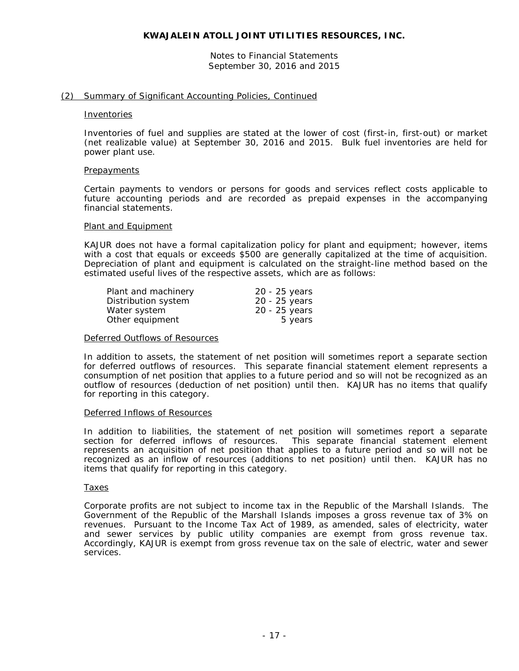Notes to Financial Statements September 30, 2016 and 2015

#### (2) Summary of Significant Accounting Policies, Continued

#### Inventories

Inventories of fuel and supplies are stated at the lower of cost (first-in, first-out) or market (net realizable value) at September 30, 2016 and 2015. Bulk fuel inventories are held for power plant use.

#### **Prepayments**

Certain payments to vendors or persons for goods and services reflect costs applicable to future accounting periods and are recorded as prepaid expenses in the accompanying financial statements.

#### Plant and Equipment

KAJUR does not have a formal capitalization policy for plant and equipment; however, items with a cost that equals or exceeds \$500 are generally capitalized at the time of acquisition. Depreciation of plant and equipment is calculated on the straight-line method based on the estimated useful lives of the respective assets, which are as follows:

| Plant and machinery | 20 - 25 years |
|---------------------|---------------|
| Distribution system | 20 - 25 years |
| Water system        | 20 - 25 years |
| Other equipment     | 5 years       |

#### Deferred Outflows of Resources

In addition to assets, the statement of net position will sometimes report a separate section for deferred outflows of resources. This separate financial statement element represents a consumption of net position that applies to a future period and so will not be recognized as an outflow of resources (deduction of net position) until then. KAJUR has no items that qualify for reporting in this category.

#### Deferred Inflows of Resources

In addition to liabilities, the statement of net position will sometimes report a separate section for deferred inflows of resources. This separate financial statement element represents an acquisition of net position that applies to a future period and so will not be recognized as an inflow of resources (additions to net position) until then. KAJUR has no items that qualify for reporting in this category.

#### Taxes

Corporate profits are not subject to income tax in the Republic of the Marshall Islands. The Government of the Republic of the Marshall Islands imposes a gross revenue tax of 3% on revenues. Pursuant to the Income Tax Act of 1989, as amended, sales of electricity, water and sewer services by public utility companies are exempt from gross revenue tax. Accordingly, KAJUR is exempt from gross revenue tax on the sale of electric, water and sewer services.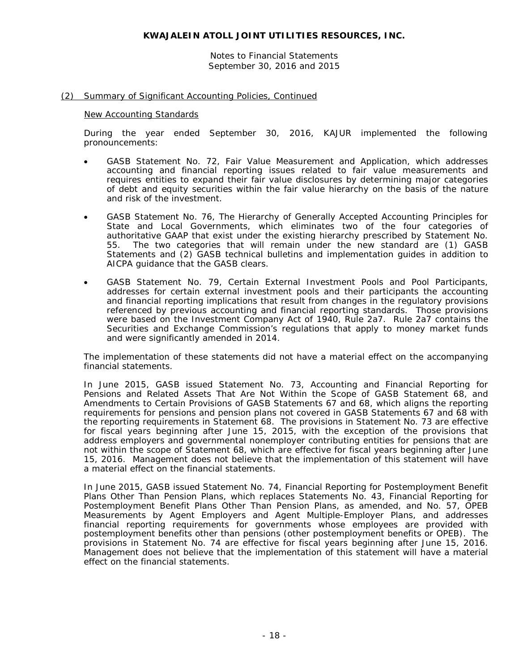Notes to Financial Statements September 30, 2016 and 2015

#### (2) Summary of Significant Accounting Policies, Continued

#### New Accounting Standards

During the year ended September 30, 2016, KAJUR implemented the following pronouncements:

- GASB Statement No. 72, *Fair Value Measurement and Application,* which addresses accounting and financial reporting issues related to fair value measurements and requires entities to expand their fair value disclosures by determining major categories of debt and equity securities within the fair value hierarchy on the basis of the nature and risk of the investment.
- GASB Statement No. 76, *The Hierarchy of Generally Accepted Accounting Principles for State and Local Governments*, which eliminates two of the four categories of authoritative GAAP that exist under the existing hierarchy prescribed by Statement No. 55. The two categories that will remain under the new standard are (1) GASB Statements and (2) GASB technical bulletins and implementation guides in addition to AICPA guidance that the GASB clears.
- GASB Statement No. 79, *Certain External Investment Pools and Pool Participants*, addresses for certain external investment pools and their participants the accounting and financial reporting implications that result from changes in the regulatory provisions referenced by previous accounting and financial reporting standards. Those provisions were based on the Investment Company Act of 1940, Rule 2a7. Rule 2a7 contains the Securities and Exchange Commission's regulations that apply to money market funds and were significantly amended in 2014.

The implementation of these statements did not have a material effect on the accompanying financial statements.

In June 2015, GASB issued Statement No. 73, *Accounting and Financial Reporting for Pensions and Related Assets That Are Not Within the Scope of GASB Statement 68, and Amendments to Certain Provisions of GASB Statements 67 and 68*, which aligns the reporting requirements for pensions and pension plans not covered in GASB Statements 67 and 68 with the reporting requirements in Statement 68. The provisions in Statement No. 73 are effective for fiscal years beginning after June 15, 2015, with the exception of the provisions that address employers and governmental nonemployer contributing entities for pensions that are not within the scope of Statement 68, which are effective for fiscal years beginning after June 15, 2016. Management does not believe that the implementation of this statement will have a material effect on the financial statements.

In June 2015, GASB issued Statement No. 74, *Financial Reporting for Postemployment Benefit Plans Other Than Pension Plans*, which replaces Statements No. 43, *Financial Reporting for Postemployment Benefit Plans Other Than Pension Plans*, as amended, and No. 57, *OPEB Measurements by Agent Employers and Agent Multiple-Employer Plans*, and addresses financial reporting requirements for governments whose employees are provided with postemployment benefits other than pensions (other postemployment benefits or OPEB). The provisions in Statement No. 74 are effective for fiscal years beginning after June 15, 2016. Management does not believe that the implementation of this statement will have a material effect on the financial statements.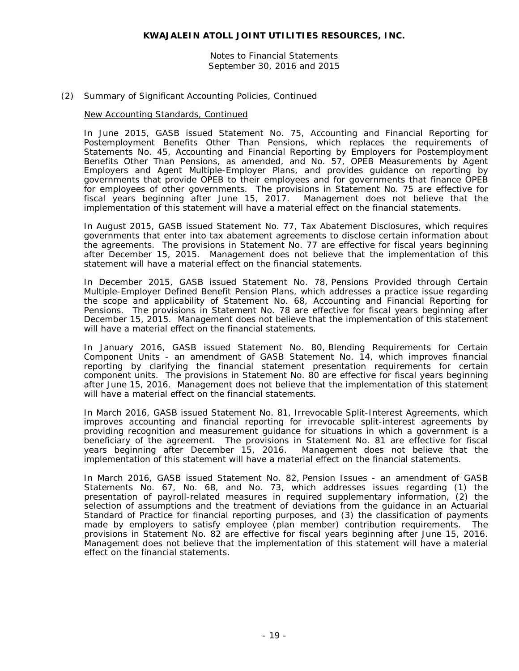Notes to Financial Statements September 30, 2016 and 2015

#### (2) Summary of Significant Accounting Policies, Continued

#### New Accounting Standards, Continued

In June 2015, GASB issued Statement No. 75, *Accounting and Financial Reporting for Postemployment Benefits Other Than Pensions*, which replaces the requirements of Statements No. 45, *Accounting and Financial Reporting by Employers for Postemployment Benefits Other Than Pensions*, as amended, and No. 57, *OPEB Measurements by Agent Employers and Agent Multiple-Employer Plans*, and provides guidance on reporting by governments that provide OPEB to their employees and for governments that finance OPEB for employees of other governments. The provisions in Statement No. 75 are effective for fiscal years beginning after June 15, 2017. Management does not believe that the implementation of this statement will have a material effect on the financial statements.

In August 2015, GASB issued Statement No. 77, *Tax Abatement Disclosures*, which requires governments that enter into tax abatement agreements to disclose certain information about the agreements. The provisions in Statement No. 77 are effective for fiscal years beginning after December 15, 2015. Management does not believe that the implementation of this statement will have a material effect on the financial statements.

In December 2015, GASB issued Statement No. 78, *Pensions Provided through Certain Multiple-Employer Defined Benefit Pension Plans,* which addresses a practice issue regarding the scope and applicability of Statement No. 68, *Accounting and Financial Reporting for Pensions*. The provisions in Statement No. 78 are effective for fiscal years beginning after December 15, 2015. Management does not believe that the implementation of this statement will have a material effect on the financial statements.

In January 2016, GASB issued Statement No. 80, *Blending Requirements for Certain Component Units - an amendment of GASB Statement No. 14,* which improves financial reporting by clarifying the financial statement presentation requirements for certain component units. The provisions in Statement No. 80 are effective for fiscal years beginning after June 15, 2016. Management does not believe that the implementation of this statement will have a material effect on the financial statements.

In March 2016, GASB issued Statement No. 81, *Irrevocable Split-Interest Agreements,* which improves accounting and financial reporting for irrevocable split-interest agreements by providing recognition and measurement guidance for situations in which a government is a beneficiary of the agreement. The provisions in Statement No. 81 are effective for fiscal<br>years beginning after December 15, 2016. Management does not believe that the years beginning after December 15, 2016. implementation of this statement will have a material effect on the financial statements.

In March 2016, GASB issued Statement No. 82, *Pension Issues - an amendment of GASB Statements No. 67, No. 68, and No. 73,* which addresses issues regarding (1) the presentation of payroll-related measures in required supplementary information, (2) the selection of assumptions and the treatment of deviations from the guidance in an Actuarial Standard of Practice for financial reporting purposes, and (3) the classification of payments made by employers to satisfy employee (plan member) contribution requirements. The provisions in Statement No. 82 are effective for fiscal years beginning after June 15, 2016. Management does not believe that the implementation of this statement will have a material effect on the financial statements.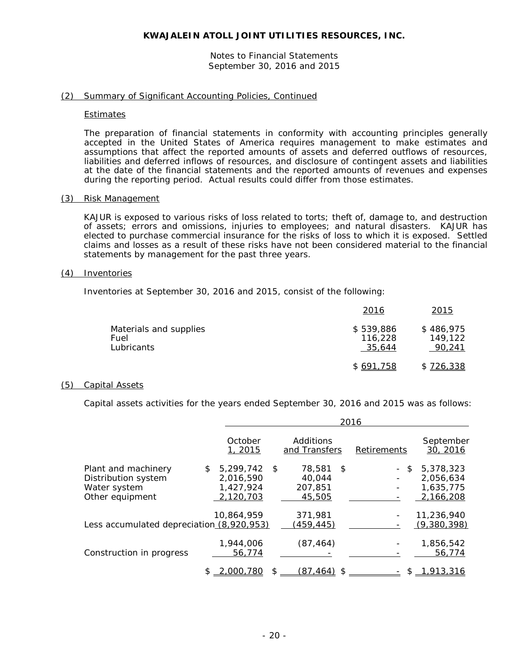#### Notes to Financial Statements September 30, 2016 and 2015

#### (2) Summary of Significant Accounting Policies, Continued

#### Estimates

The preparation of financial statements in conformity with accounting principles generally accepted in the United States of America requires management to make estimates and assumptions that affect the reported amounts of assets and deferred outflows of resources, liabilities and deferred inflows of resources, and disclosure of contingent assets and liabilities at the date of the financial statements and the reported amounts of revenues and expenses during the reporting period. Actual results could differ from those estimates.

#### (3) Risk Management

KAJUR is exposed to various risks of loss related to torts; theft of, damage to, and destruction of assets; errors and omissions, injuries to employees; and natural disasters. KAJUR has elected to purchase commercial insurance for the risks of loss to which it is exposed. Settled claims and losses as a result of these risks have not been considered material to the financial statements by management for the past three years.

#### (4) Inventories

Inventories at September 30, 2016 and 2015, consist of the following:

|                                              | 2016                           | 2015                           |
|----------------------------------------------|--------------------------------|--------------------------------|
| Materials and supplies<br>Fuel<br>Lubricants | \$539,886<br>116,228<br>35,644 | \$486,975<br>149,122<br>90.241 |
|                                              | \$691,758                      | \$726,338                      |

#### (5) Capital Assets

Capital assets activities for the years ended September 30, 2016 and 2015 was as follows:

|                                                                               | 2016                                                   |    |                                       |    |             |                                                  |  |
|-------------------------------------------------------------------------------|--------------------------------------------------------|----|---------------------------------------|----|-------------|--------------------------------------------------|--|
|                                                                               | October<br>1, 2015                                     |    | Additions<br>and Transfers            |    | Retirements | September<br>30, 2016                            |  |
| Plant and machinery<br>Distribution system<br>Water system<br>Other equipment | \$<br>5,299,742<br>2,016,590<br>1,427,924<br>2,120,703 | \$ | 78,581<br>40.044<br>207,851<br>45,505 | \$ | - \$        | 5,378,323<br>2,056,634<br>1,635,775<br>2,166,208 |  |
| Less accumulated depreciation (8,920,953)<br>Construction in progress         | 10,864,959<br>1,944,006<br>56,774                      |    | 371,981<br>(459, 445)<br>(87, 464)    |    |             | 11,236,940<br>(9,380,398)<br>1,856,542<br>56,774 |  |
|                                                                               | 2,000,780                                              | \$ | <u>(87,464)</u>                       | \$ |             | $-1,913,316$                                     |  |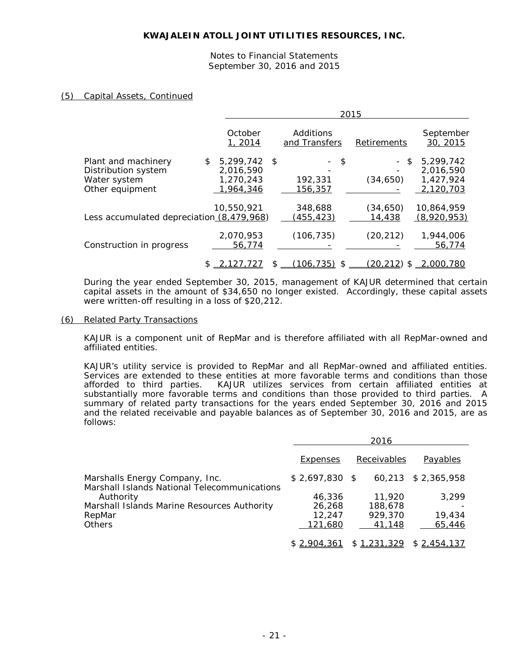Notes to Financial Statements September 30, 2016 and 2015

#### (5) Capital Assets, Continued

|                                                                               | 2015                                                   |      |                            |    |                                   |                                                  |  |
|-------------------------------------------------------------------------------|--------------------------------------------------------|------|----------------------------|----|-----------------------------------|--------------------------------------------------|--|
|                                                                               | October<br>1, 2014                                     |      | Additions<br>and Transfers |    | Retirements                       | September<br>30, 2015                            |  |
| Plant and machinery<br>Distribution system<br>Water system<br>Other equipment | \$<br>5,299,742<br>2,016,590<br>1,270,243<br>1,964,346 | - \$ | 192,331<br>156,357         | \$ | \$<br>$\overline{a}$<br>(34, 650) | 5,299,742<br>2,016,590<br>1,427,924<br>2,120,703 |  |
| Less accumulated depreciation (8,479,968)                                     | 10,550,921                                             |      | 348,688<br>(455, 423)      |    | (34, 650)<br>14,438               | 10,864,959<br>(8,920,953)                        |  |
| Construction in progress                                                      | 2,070,953<br>56,774                                    |      | (106, 735)                 |    | (20, 212)                         | 1,944,006<br>56,774                              |  |
|                                                                               | 2.127.727                                              | \$.  | <u>(106,735)</u>           | \$ | <u>(20,212)</u>                   | 2,000,780                                        |  |

During the year ended September 30, 2015, management of KAJUR determined that certain capital assets in the amount of \$34,650 no longer existed. Accordingly, these capital assets were written-off resulting in a loss of \$20,212.

#### (6) Related Party Transactions

KAJUR is a component unit of RepMar and is therefore affiliated with all RepMar-owned and affiliated entities.

KAJUR's utility service is provided to RepMar and all RepMar-owned and affiliated entities. Services are extended to these entities at more favorable terms and conditions than those afforded to third parties. KAJUR utilizes services from certain affiliated entities at substantially more favorable terms and conditions than those provided to third parties. A summary of related party transactions for the years ended September 30, 2016 and 2015 and the related receivable and payable balances as of September 30, 2016 and 2015, are as follows:

|                                                           |                 | 2016        |                    |  |
|-----------------------------------------------------------|-----------------|-------------|--------------------|--|
|                                                           | Expenses        | Receivables | Payables           |  |
| Marshalls Energy Company, Inc.                            | $$2,697,830$ \$ |             | 60,213 \$2,365,958 |  |
| Marshall Islands National Telecommunications<br>Authority | 46,336          | 11,920      | 3.299              |  |
| Marshall Islands Marine Resources Authority               | 26,268          | 188,678     |                    |  |
| RepMar                                                    | 12,247          | 929.370     | 19,434             |  |
| <b>Others</b>                                             | 121,680         | 41,148      | 65,446             |  |
|                                                           |                 |             |                    |  |
|                                                           | \$2,904,361     | \$1,231,329 | \$2,454,137        |  |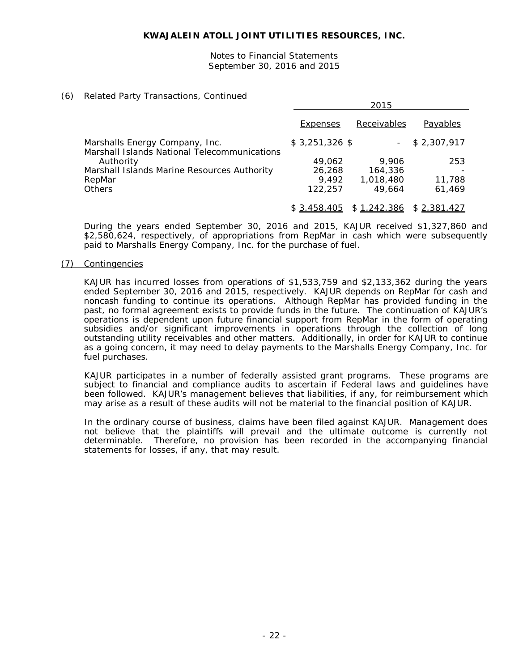Notes to Financial Statements September 30, 2016 and 2015

 $2015$ 

#### (6) Related Party Transactions, Continued

|                                                                                |                 | 2015        |             |  |
|--------------------------------------------------------------------------------|-----------------|-------------|-------------|--|
|                                                                                | <b>Expenses</b> | Receivables | Payables    |  |
| Marshalls Energy Company, Inc.<br>Marshall Islands National Telecommunications | $$3,251,326$ \$ |             | \$2,307,917 |  |
| Authority                                                                      | 49.062          | 9.906       | 253         |  |
| Marshall Islands Marine Resources Authority                                    | 26,268          | 164,336     |             |  |
| RepMar                                                                         | 9.492           | 1,018,480   | 11,788      |  |
| <b>Others</b>                                                                  | 122,257         | 49.664      | 61,469      |  |
|                                                                                | \$3,458,405     | \$1,242,386 | \$2,381,427 |  |

During the years ended September 30, 2016 and 2015, KAJUR received \$1,327,860 and \$2,580,624, respectively, of appropriations from RepMar in cash which were subsequently paid to Marshalls Energy Company, Inc. for the purchase of fuel.

#### (7) Contingencies

KAJUR has incurred losses from operations of \$1,533,759 and \$2,133,362 during the years ended September 30, 2016 and 2015, respectively. KAJUR depends on RepMar for cash and noncash funding to continue its operations. Although RepMar has provided funding in the past, no formal agreement exists to provide funds in the future. The continuation of KAJUR's operations is dependent upon future financial support from RepMar in the form of operating subsidies and/or significant improvements in operations through the collection of long outstanding utility receivables and other matters. Additionally, in order for KAJUR to continue as a going concern, it may need to delay payments to the Marshalls Energy Company, Inc. for fuel purchases.

KAJUR participates in a number of federally assisted grant programs. These programs are subject to financial and compliance audits to ascertain if Federal laws and guidelines have been followed. KAJUR's management believes that liabilities, if any, for reimbursement which may arise as a result of these audits will not be material to the financial position of KAJUR.

In the ordinary course of business, claims have been filed against KAJUR. Management does not believe that the plaintiffs will prevail and the ultimate outcome is currently not determinable. Therefore, no provision has been recorded in the accompanying financial statements for losses, if any, that may result.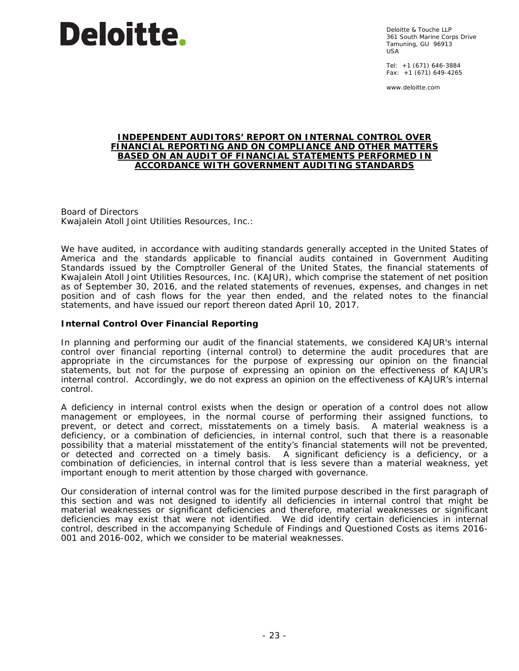

Deloitte & Touche LLP 361 South Marine Corps Drive Tamuning, GU 96913 USA

Tel: +1 (671) 646-3884 Fax: +1 (671) 649-4265

www.deloitte.com

#### **INDEPENDENT AUDITORS' REPORT ON INTERNAL CONTROL OVER FINANCIAL REPORTING AND ON COMPLIANCE AND OTHER MATTERS BASED ON AN AUDIT OF FINANCIAL STATEMENTS PERFORMED IN ACCORDANCE WITH** *GOVERNMENT AUDITING STANDARDS*

Board of Directors Kwajalein Atoll Joint Utilities Resources, Inc.:

We have audited, in accordance with auditing standards generally accepted in the United States of America and the standards applicable to financial audits contained in *Government Auditing Standards* issued by the Comptroller General of the United States, the financial statements of Kwajalein Atoll Joint Utilities Resources, Inc. (KAJUR), which comprise the statement of net position as of September 30, 2016, and the related statements of revenues, expenses, and changes in net position and of cash flows for the year then ended, and the related notes to the financial statements, and have issued our report thereon dated April 10, 2017.

# **Internal Control Over Financial Reporting**

In planning and performing our audit of the financial statements, we considered KAJUR's internal control over financial reporting (internal control) to determine the audit procedures that are appropriate in the circumstances for the purpose of expressing our opinion on the financial statements, but not for the purpose of expressing an opinion on the effectiveness of KAJUR's internal control. Accordingly, we do not express an opinion on the effectiveness of KAJUR's internal control.

A *deficiency in internal control* exists when the design or operation of a control does not allow management or employees, in the normal course of performing their assigned functions, to prevent, or detect and correct, misstatements on a timely basis. A *material weakness* is a deficiency, or a combination of deficiencies, in internal control, such that there is a reasonable possibility that a material misstatement of the entity's financial statements will not be prevented, or detected and corrected on a timely basis. A *significant deficiency* is a deficiency, or a combination of deficiencies, in internal control that is less severe than a material weakness, yet important enough to merit attention by those charged with governance.

Our consideration of internal control was for the limited purpose described in the first paragraph of this section and was not designed to identify all deficiencies in internal control that might be material weaknesses or significant deficiencies and therefore, material weaknesses or significant deficiencies may exist that were not identified. We did identify certain deficiencies in internal control, described in the accompanying Schedule of Findings and Questioned Costs as items 2016- 001 and 2016-002, which we consider to be material weaknesses.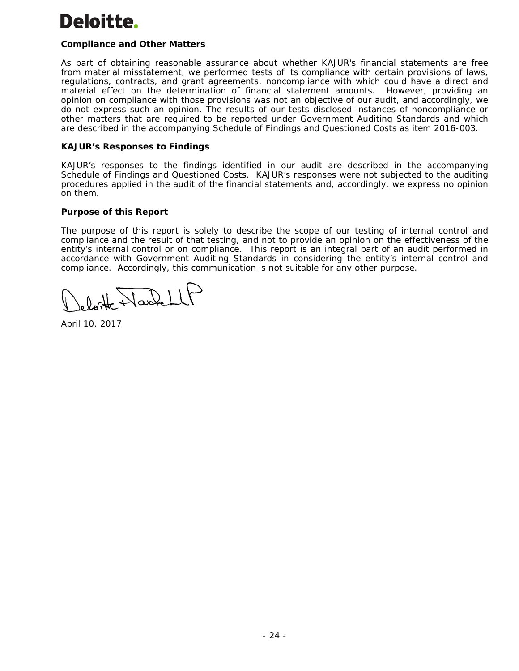# **Deloitte**

# **Compliance and Other Matters**

As part of obtaining reasonable assurance about whether KAJUR's financial statements are free from material misstatement, we performed tests of its compliance with certain provisions of laws, regulations, contracts, and grant agreements, noncompliance with which could have a direct and material effect on the determination of financial statement amounts. However, providing an opinion on compliance with those provisions was not an objective of our audit, and accordingly, we do not express such an opinion. The results of our tests disclosed instances of noncompliance or other matters that are required to be reported under *Government Auditing Standards* and which are described in the accompanying Schedule of Findings and Questioned Costs as item 2016-003.

# **KAJUR's Responses to Findings**

KAJUR's responses to the findings identified in our audit are described in the accompanying Schedule of Findings and Questioned Costs. KAJUR's responses were not subjected to the auditing procedures applied in the audit of the financial statements and, accordingly, we express no opinion on them.

# **Purpose of this Report**

The purpose of this report is solely to describe the scope of our testing of internal control and compliance and the result of that testing, and not to provide an opinion on the effectiveness of the entity's internal control or on compliance. This report is an integral part of an audit performed in accordance with *Government Auditing Standards* in considering the entity's internal control and compliance. Accordingly, this communication is not suitable for any other purpose.

loite Washell

April 10, 2017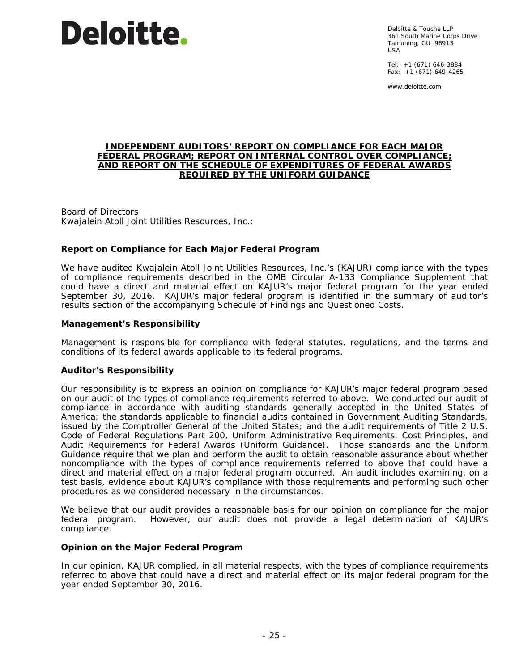# **Deloitte.**

Deloitte & Touche LLP 361 South Marine Corps Drive Tamuning, GU 96913 USA

Tel: +1 (671) 646-3884 Fax: +1 (671) 649-4265

www.deloitte.com

#### **INDEPENDENT AUDITORS' REPORT ON COMPLIANCE FOR EACH MAJOR FEDERAL PROGRAM; REPORT ON INTERNAL CONTROL OVER COMPLIANCE; AND REPORT ON THE SCHEDULE OF EXPENDITURES OF FEDERAL AWARDS REQUIRED BY THE UNIFORM GUIDANCE**

Board of Directors Kwajalein Atoll Joint Utilities Resources, Inc.:

# **Report on Compliance for Each Major Federal Program**

We have audited Kwajalein Atoll Joint Utilities Resources, Inc.'s (KAJUR) compliance with the types of compliance requirements described in the *OMB Circular A-133 Compliance Supplement* that could have a direct and material effect on KAJUR's major federal program for the year ended September 30, 2016. KAJUR's major federal program is identified in the summary of auditor's results section of the accompanying Schedule of Findings and Questioned Costs.

# *Management's Responsibility*

Management is responsible for compliance with federal statutes, regulations, and the terms and conditions of its federal awards applicable to its federal programs.

#### *Auditor's Responsibility*

Our responsibility is to express an opinion on compliance for KAJUR's major federal program based on our audit of the types of compliance requirements referred to above. We conducted our audit of compliance in accordance with auditing standards generally accepted in the United States of America; the standards applicable to financial audits contained in *Government Auditing Standards*, issued by the Comptroller General of the United States; and the audit requirements of Title 2 U.S. *Code of Federal Regulations* Part 200, *Uniform Administrative Requirements, Cost Principles, and Audit Requirements for Federal Awards* (Uniform Guidance). Those standards and the Uniform Guidance require that we plan and perform the audit to obtain reasonable assurance about whether noncompliance with the types of compliance requirements referred to above that could have a direct and material effect on a major federal program occurred. An audit includes examining, on a test basis, evidence about KAJUR's compliance with those requirements and performing such other procedures as we considered necessary in the circumstances.

We believe that our audit provides a reasonable basis for our opinion on compliance for the major federal program. However, our audit does not provide a legal determination of KAJUR's compliance.

#### *Opinion on the Major Federal Program*

In our opinion, KAJUR complied, in all material respects, with the types of compliance requirements referred to above that could have a direct and material effect on its major federal program for the year ended September 30, 2016.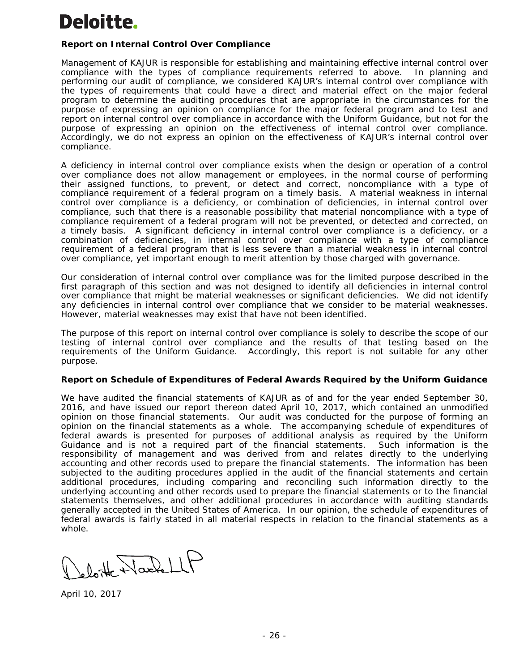# Deloitte.

# **Report on Internal Control Over Compliance**

Management of KAJUR is responsible for establishing and maintaining effective internal control over compliance with the types of compliance requirements referred to above. In planning and performing our audit of compliance, we considered KAJUR's internal control over compliance with the types of requirements that could have a direct and material effect on the major federal program to determine the auditing procedures that are appropriate in the circumstances for the purpose of expressing an opinion on compliance for the major federal program and to test and report on internal control over compliance in accordance with the Uniform Guidance, but not for the purpose of expressing an opinion on the effectiveness of internal control over compliance. Accordingly, we do not express an opinion on the effectiveness of KAJUR's internal control over compliance.

A *deficiency in internal control over compliance* exists when the design or operation of a control over compliance does not allow management or employees, in the normal course of performing their assigned functions, to prevent, or detect and correct, noncompliance with a type of compliance requirement of a federal program on a timely basis. A *material weakness in internal control over compliance* is a deficiency, or combination of deficiencies, in internal control over compliance, such that there is a reasonable possibility that material noncompliance with a type of compliance requirement of a federal program will not be prevented, or detected and corrected, on a timely basis. A *significant deficiency in internal control over compliance* is a deficiency, or a combination of deficiencies, in internal control over compliance with a type of compliance requirement of a federal program that is less severe than a material weakness in internal control over compliance, yet important enough to merit attention by those charged with governance.

Our consideration of internal control over compliance was for the limited purpose described in the first paragraph of this section and was not designed to identify all deficiencies in internal control over compliance that might be material weaknesses or significant deficiencies. We did not identify any deficiencies in internal control over compliance that we consider to be material weaknesses. However, material weaknesses may exist that have not been identified.

The purpose of this report on internal control over compliance is solely to describe the scope of our testing of internal control over compliance and the results of that testing based on the requirements of the Uniform Guidance. Accordingly, this report is not suitable for any other purpose.

# **Report on Schedule of Expenditures of Federal Awards Required by the Uniform Guidance**

We have audited the financial statements of KAJUR as of and for the year ended September 30, 2016, and have issued our report thereon dated April 10, 2017, which contained an unmodified opinion on those financial statements. Our audit was conducted for the purpose of forming an opinion on the financial statements as a whole. The accompanying schedule of expenditures of federal awards is presented for purposes of additional analysis as required by the Uniform Guidance and is not a required part of the financial statements. Such information is the responsibility of management and was derived from and relates directly to the underlying accounting and other records used to prepare the financial statements. The information has been subjected to the auditing procedures applied in the audit of the financial statements and certain additional procedures, including comparing and reconciling such information directly to the underlying accounting and other records used to prepare the financial statements or to the financial statements themselves, and other additional procedures in accordance with auditing standards generally accepted in the United States of America. In our opinion, the schedule of expenditures of federal awards is fairly stated in all material respects in relation to the financial statements as a whole.

beloit Nachell

April 10, 2017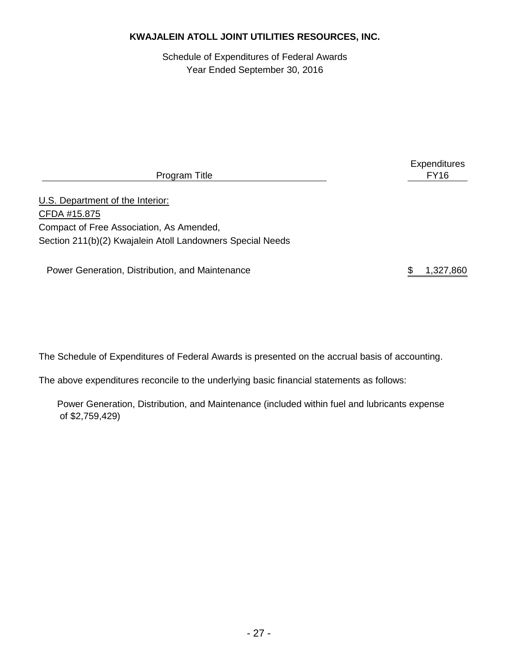Schedule of Expenditures of Federal Awards Year Ended September 30, 2016

Program Title **FY16** 

**Expenditures** 

U.S. Department of the Interior: CFDA #15.875 Compact of Free Association, As Amended, Section 211(b)(2) Kwajalein Atoll Landowners Special Needs

Power Generation, Distribution, and Maintenance  $$ 1,327,860$ 

The Schedule of Expenditures of Federal Awards is presented on the accrual basis of accounting.

The above expenditures reconcile to the underlying basic financial statements as follows:

 Power Generation, Distribution, and Maintenance (included within fuel and lubricants expense of \$2,759,429)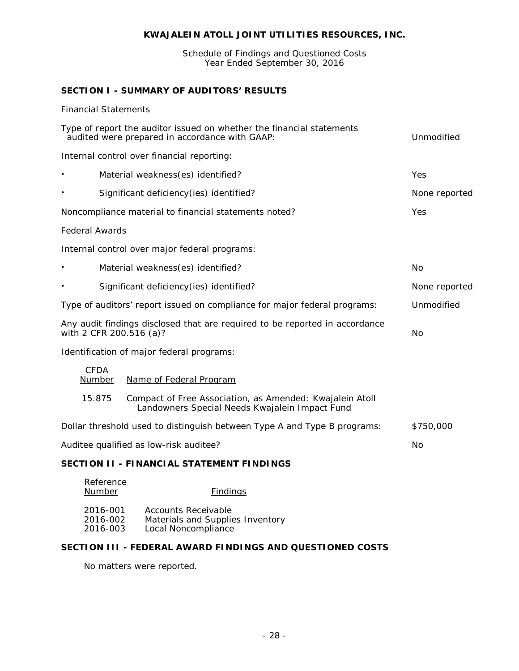Schedule of Findings and Questioned Costs Year Ended September 30, 2016

# **SECTION I - SUMMARY OF AUDITORS' RESULTS**

# *Financial Statements*

| Type of report the auditor issued on whether the financial statements<br>audited were prepared in accordance with GAAP: | Unmodified                                                                                                           |               |
|-------------------------------------------------------------------------------------------------------------------------|----------------------------------------------------------------------------------------------------------------------|---------------|
|                                                                                                                         | Internal control over financial reporting:                                                                           |               |
|                                                                                                                         | Material weakness(es) identified?                                                                                    | Yes           |
|                                                                                                                         | Significant deficiency(ies) identified?                                                                              | None reported |
|                                                                                                                         | Noncompliance material to financial statements noted?                                                                | Yes           |
| <b>Federal Awards</b>                                                                                                   |                                                                                                                      |               |
|                                                                                                                         | Internal control over major federal programs:                                                                        |               |
|                                                                                                                         | No                                                                                                                   |               |
|                                                                                                                         | None reported                                                                                                        |               |
| Type of auditors' report issued on compliance for major federal programs:                                               | Unmodified                                                                                                           |               |
| Any audit findings disclosed that are required to be reported in accordance<br>with 2 CFR 200.516 (a)?                  | <b>No</b>                                                                                                            |               |
|                                                                                                                         | Identification of major federal programs:                                                                            |               |
|                                                                                                                         | <b>CFDA</b><br>Number<br>Name of Federal Program                                                                     |               |
|                                                                                                                         | 15.875<br>Compact of Free Association, as Amended: Kwajalein Atoll<br>Landowners Special Needs Kwajalein Impact Fund |               |
|                                                                                                                         | Dollar threshold used to distinguish between Type A and Type B programs:                                             | \$750,000     |
| Auditee qualified as low-risk auditee?<br>No                                                                            |                                                                                                                      |               |
|                                                                                                                         | <b>SECTION II - FINANCIAL STATEMENT FINDINGS</b>                                                                     |               |
|                                                                                                                         | Reference                                                                                                            |               |

| <b>Number</b> | <b>Findings</b>                  |
|---------------|----------------------------------|
| 2016-001      | Accounts Receivable              |
| 2016-002      | Materials and Supplies Inventory |
| 2016-003      | Local Noncompliance              |

# **SECTION III - FEDERAL AWARD FINDINGS AND QUESTIONED COSTS**

No matters were reported.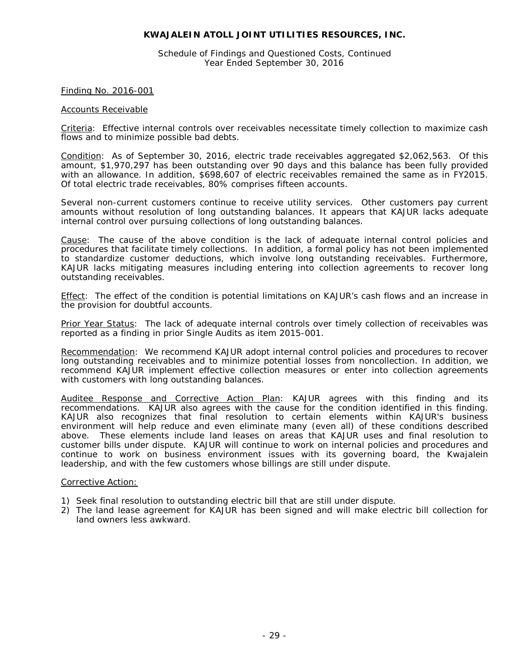Schedule of Findings and Questioned Costs, Continued Year Ended September 30, 2016

Finding No. 2016-001

#### Accounts Receivable

Criteria: Effective internal controls over receivables necessitate timely collection to maximize cash flows and to minimize possible bad debts.

Condition: As of September 30, 2016, electric trade receivables aggregated \$2,062,563. Of this amount, \$1,970,297 has been outstanding over 90 days and this balance has been fully provided with an allowance. In addition, \$698,607 of electric receivables remained the same as in FY2015. Of total electric trade receivables, 80% comprises fifteen accounts.

Several non-current customers continue to receive utility services. Other customers pay current amounts without resolution of long outstanding balances. It appears that KAJUR lacks adequate internal control over pursuing collections of long outstanding balances.

Cause: The cause of the above condition is the lack of adequate internal control policies and procedures that facilitate timely collections. In addition, a formal policy has not been implemented to standardize customer deductions, which involve long outstanding receivables. Furthermore, KAJUR lacks mitigating measures including entering into collection agreements to recover long outstanding receivables.

Effect: The effect of the condition is potential limitations on KAJUR's cash flows and an increase in the provision for doubtful accounts.

Prior Year Status: The lack of adequate internal controls over timely collection of receivables was reported as a finding in prior Single Audits as item 2015-001.

Recommendation: We recommend KAJUR adopt internal control policies and procedures to recover long outstanding receivables and to minimize potential losses from noncollection. In addition, we recommend KAJUR implement effective collection measures or enter into collection agreements with customers with long outstanding balances.

Auditee Response and Corrective Action Plan: KAJUR agrees with this finding and its recommendations. KAJUR also agrees with the cause for the condition identified in this finding. KAJUR also recognizes that final resolution to certain elements within KAJUR's business environment will help reduce and even eliminate many (even all) of these conditions described above. These elements include land leases on areas that KAJUR uses and final resolution to customer bills under dispute. KAJUR will continue to work on internal policies and procedures and continue to work on business environment issues with its governing board, the Kwajalein leadership, and with the few customers whose billings are still under dispute.

#### Corrective Action:

- 1) Seek final resolution to outstanding electric bill that are still under dispute.
- 2) The land lease agreement for KAJUR has been signed and will make electric bill collection for land owners less awkward.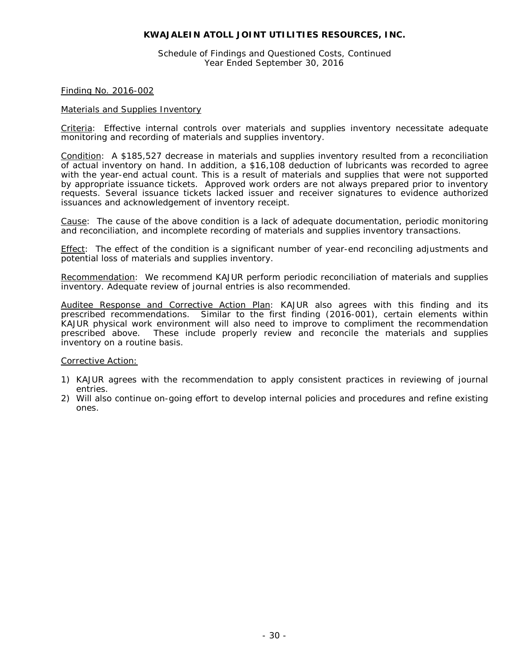Schedule of Findings and Questioned Costs, Continued Year Ended September 30, 2016

#### Finding No. 2016-002

#### Materials and Supplies Inventory

Criteria: Effective internal controls over materials and supplies inventory necessitate adequate monitoring and recording of materials and supplies inventory.

Condition: A \$185,527 decrease in materials and supplies inventory resulted from a reconciliation of actual inventory on hand. In addition, a \$16,108 deduction of lubricants was recorded to agree with the year-end actual count. This is a result of materials and supplies that were not supported by appropriate issuance tickets. Approved work orders are not always prepared prior to inventory requests. Several issuance tickets lacked issuer and receiver signatures to evidence authorized issuances and acknowledgement of inventory receipt.

Cause: The cause of the above condition is a lack of adequate documentation, periodic monitoring and reconciliation, and incomplete recording of materials and supplies inventory transactions.

Effect: The effect of the condition is a significant number of year-end reconciling adjustments and potential loss of materials and supplies inventory.

Recommendation: We recommend KAJUR perform periodic reconciliation of materials and supplies inventory. Adequate review of journal entries is also recommended.

Auditee Response and Corrective Action Plan: KAJUR also agrees with this finding and its prescribed recommendations. Similar to the first finding (2016-001), certain elements within KAJUR physical work environment will also need to improve to compliment the recommendation prescribed above. These include properly review and reconcile the materials and supplies inventory on a routine basis.

#### Corrective Action:

- 1) KAJUR agrees with the recommendation to apply consistent practices in reviewing of journal entries.
- 2) Will also continue on-going effort to develop internal policies and procedures and refine existing ones.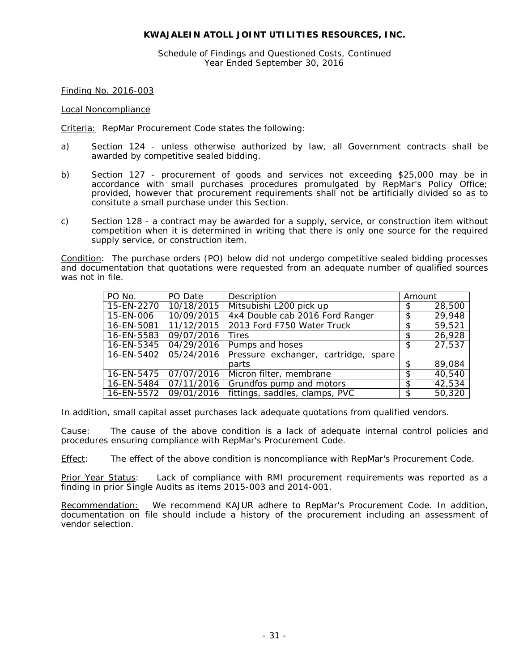Schedule of Findings and Questioned Costs, Continued Year Ended September 30, 2016

Finding No. 2016-003

#### Local Noncompliance

Criteria: RepMar Procurement Code states the following:

- a) Section 124 unless otherwise authorized by law, all Government contracts shall be awarded by competitive sealed bidding.
- b) Section 127 procurement of goods and services not exceeding \$25,000 may be in accordance with small purchases procedures promulgated by RepMar's Policy Office; provided, however that procurement requirements shall not be artificially divided so as to consitute a small purchase under this Section.
- c) Section 128 a contract may be awarded for a supply, service, or construction item without competition when it is determined in writing that there is only one source for the required supply service, or construction item.

Condition: The purchase orders (PO) below did not undergo competitive sealed bidding processes and documentation that quotations were requested from an adequate number of qualified sources was not in file.

| PO No.     | PO Date             | Description                          | Amount |                     |
|------------|---------------------|--------------------------------------|--------|---------------------|
| 15-EN-2270 | 10/18/2015          | Mitsubishi L200 pick up              | \$     | 28,500              |
| 15-EN-006  | 10/09/2015          | 4x4 Double cab 2016 Ford Ranger      | \$     | 29,948              |
| 16-EN-5081 | 11/12/2015          | 2013 Ford F750 Water Truck           | \$     | $\overline{59,521}$ |
| 16-EN-5583 | 09/07/2016          | <b>Tires</b>                         | \$     | 26,928              |
| 16-EN-5345 | 04/29/2016          | Pumps and hoses                      | \$     | 27,537              |
| 16-EN-5402 | 05/24/2016          | Pressure exchanger, cartridge, spare |        |                     |
|            |                     | parts                                | \$     | 89,084              |
| 16-EN-5475 | $\sqrt{07/07}/2016$ | Micron filter, membrane              | \$     | 40,540              |
| 16-EN-5484 | 07/11/2016          | Grundfos pump and motors             | \$     | 42,534              |
| 16-EN-5572 | 09/01/2016          | fittings, saddles, clamps, PVC       | \$     | 50,320              |

In addition, small capital asset purchases lack adequate quotations from qualified vendors.

Cause: The cause of the above condition is a lack of adequate internal control policies and procedures ensuring compliance with RepMar's Procurement Code.

Effect: The effect of the above condition is noncompliance with RepMar's Procurement Code.

Prior Year Status: Lack of compliance with RMI procurement requirements was reported as a finding in prior Single Audits as items 2015-003 and 2014-001.

Recommendation: We recommend KAJUR adhere to RepMar's Procurement Code. In addition, documentation on file should include a history of the procurement including an assessment of vendor selection.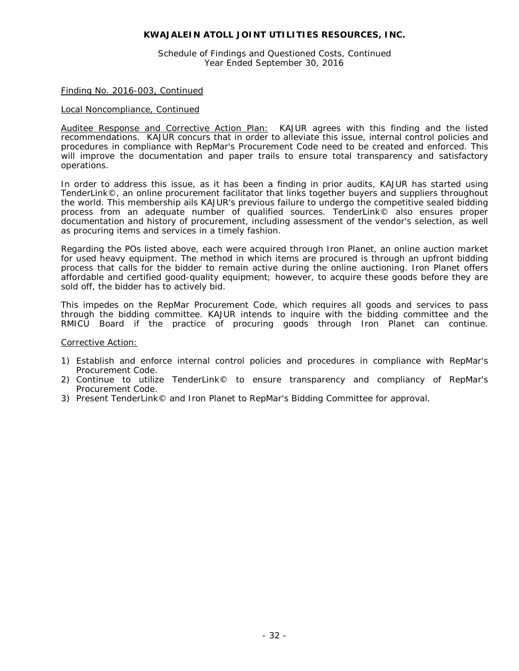Schedule of Findings and Questioned Costs, Continued Year Ended September 30, 2016

#### Finding No. 2016-003, Continued

#### Local Noncompliance, Continued

Auditee Response and Corrective Action Plan: KAJUR agrees with this finding and the listed recommendations. KAJUR concurs that in order to alleviate this issue, internal control policies and procedures in compliance with RepMar's Procurement Code need to be created and enforced. This will improve the documentation and paper trails to ensure total transparency and satisfactory operations.

In order to address this issue, as it has been a finding in prior audits, KAJUR has started using TenderLink©, an online procurement facilitator that links together buyers and suppliers throughout the world. This membership ails KAJUR's previous failure to undergo the competitive sealed bidding process from an adequate number of qualified sources. TenderLink© also ensures proper documentation and history of procurement, including assessment of the vendor's selection, as well as procuring items and services in a timely fashion.

Regarding the POs listed above, each were acquired through Iron Planet, an online auction market for used heavy equipment. The method in which items are procured is through an upfront bidding process that calls for the bidder to remain active during the online auctioning. Iron Planet offers affordable and certified good-quality equipment; however, to acquire these goods before they are sold off, the bidder has to actively bid.

This impedes on the RepMar Procurement Code, which requires all goods and services to pass through the bidding committee. KAJUR intends to inquire with the bidding committee and the RMICU Board if the practice of procuring goods through Iron Planet can continue.

#### Corrective Action:

- 1) Establish and enforce internal control policies and procedures in compliance with RepMar's Procurement Code.
- 2) Continue to utilize TenderLink© to ensure transparency and compliancy of RepMar's Procurement Code.
- 3) Present TenderLink© and Iron Planet to RepMar's Bidding Committee for approval.